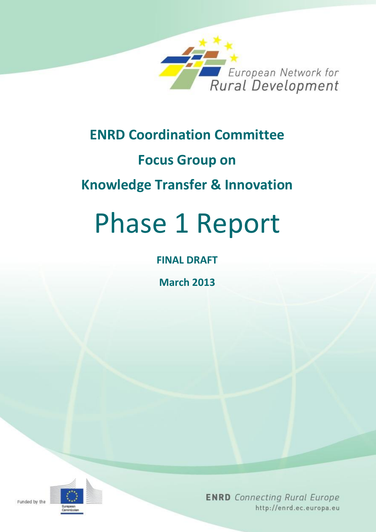

# **ENRD Coordination Committee**

# **Focus Group on**

# **Knowledge Transfer & Innovation**

# Phase 1 Report

# **FINAL DRAFT**

**March 2013**

**ENRD** Connecting Rural Europe http://enrd.ec.europa.eu

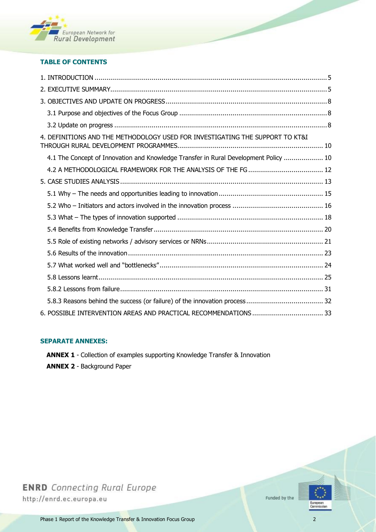

#### **TABLE OF CONTENTS**

| 4. DEFINITIONS AND THE METHODOLOGY USED FOR INVESTIGATING THE SUPPORT TO KT&I        |
|--------------------------------------------------------------------------------------|
| 4.1 The Concept of Innovation and Knowledge Transfer in Rural Development Policy  10 |
|                                                                                      |
|                                                                                      |
|                                                                                      |
|                                                                                      |
|                                                                                      |
|                                                                                      |
|                                                                                      |
|                                                                                      |
|                                                                                      |
|                                                                                      |
|                                                                                      |
|                                                                                      |
|                                                                                      |

#### **SEPARATE ANNEXES:**

- **ANNEX 1** Collection of examples supporting Knowledge Transfer & Innovation
- **ANNEX 2** Background Paper

**ENRD** Connecting Rural Europe http://enrd.ec.europa.eu

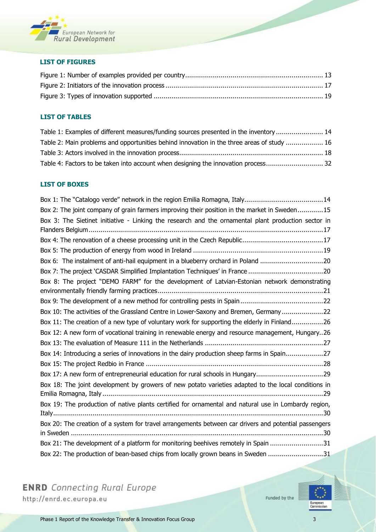

#### **LIST OF FIGURES**

#### **LIST OF TABLES**

| Table 1: Examples of different measures/funding sources presented in the inventory  14     |  |
|--------------------------------------------------------------------------------------------|--|
| Table 2: Main problems and opportunities behind innovation in the three areas of study  16 |  |
|                                                                                            |  |
| Table 4: Factors to be taken into account when designing the innovation process 32         |  |

#### **LIST OF BOXES**

| Box 1: The "Catalogo verde" network in the region Emilia Romagna, Italy14                                                                                              |
|------------------------------------------------------------------------------------------------------------------------------------------------------------------------|
| Box 2: The joint company of grain farmers improving their position in the market in Sweden15                                                                           |
| Box 3: The Sietinet initiative - Linking the research and the ornamental plant production sector in                                                                    |
|                                                                                                                                                                        |
|                                                                                                                                                                        |
|                                                                                                                                                                        |
| Box 6: The instalment of anti-hail equipment in a blueberry orchard in Poland 20                                                                                       |
|                                                                                                                                                                        |
| Box 8: The project "DEMO FARM" for the development of Latvian-Estonian network demonstrating                                                                           |
|                                                                                                                                                                        |
|                                                                                                                                                                        |
| Box 10: The activities of the Grassland Centre in Lower-Saxony and Bremen, Germany22                                                                                   |
| Box 11: The creation of a new type of voluntary work for supporting the elderly in Finland26                                                                           |
|                                                                                                                                                                        |
| Box 12: A new form of vocational training in renewable energy and resource management, Hungary26                                                                       |
|                                                                                                                                                                        |
| Box 14: Introducing a series of innovations in the dairy production sheep farms in Spain27                                                                             |
|                                                                                                                                                                        |
| Box 17: A new form of entrepreneurial education for rural schools in Hungary29                                                                                         |
| Box 18: The joint development by growers of new potato varieties adapted to the local conditions in                                                                    |
|                                                                                                                                                                        |
| Box 19: The production of native plants certified for ornamental and natural use in Lombardy region,                                                                   |
|                                                                                                                                                                        |
| Box 20: The creation of a system for travel arrangements between car drivers and potential passengers                                                                  |
|                                                                                                                                                                        |
| Box 21: The development of a platform for monitoring beehives remotely in Spain 31<br>Box 22: The production of bean-based chips from locally grown beans in Sweden 31 |

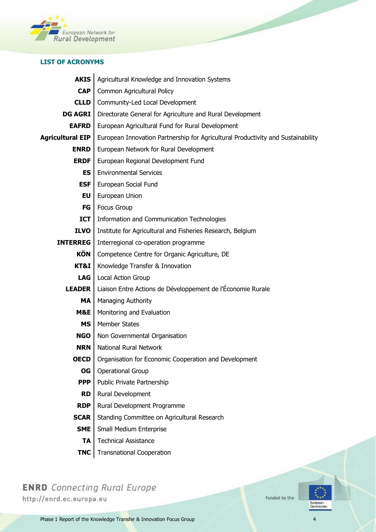

#### **LIST OF ACRONYMS**

 $\overline{a}$ 

| <b>AKIS</b>             | Agricultural Knowledge and Innovation Systems                                    |  |  |  |  |  |
|-------------------------|----------------------------------------------------------------------------------|--|--|--|--|--|
| <b>CAP</b>              | Common Agricultural Policy                                                       |  |  |  |  |  |
| <b>CLLD</b>             | Community-Led Local Development                                                  |  |  |  |  |  |
| <b>DG AGRI</b>          | Directorate General for Agriculture and Rural Development                        |  |  |  |  |  |
| <b>EAFRD</b>            | European Agricultural Fund for Rural Development                                 |  |  |  |  |  |
| <b>Agricultural EIP</b> | European Innovation Partnership for Agricultural Productivity and Sustainability |  |  |  |  |  |
| <b>ENRD</b>             | European Network for Rural Development                                           |  |  |  |  |  |
| <b>ERDF</b>             | European Regional Development Fund                                               |  |  |  |  |  |
| <b>ES</b>               | <b>Environmental Services</b>                                                    |  |  |  |  |  |
| <b>ESF</b>              | European Social Fund                                                             |  |  |  |  |  |
| EU                      | European Union                                                                   |  |  |  |  |  |
| FG                      | <b>Focus Group</b>                                                               |  |  |  |  |  |
| <b>ICT</b>              | Information and Communication Technologies                                       |  |  |  |  |  |
| <b>ILVO</b>             | Institute for Agricultural and Fisheries Research, Belgium                       |  |  |  |  |  |
| <b>INTERREG</b>         | Interregional co-operation programme                                             |  |  |  |  |  |
| KÖN                     | Competence Centre for Organic Agriculture, DE                                    |  |  |  |  |  |
| KT&I                    | Knowledge Transfer & Innovation                                                  |  |  |  |  |  |
| LAG                     | Local Action Group                                                               |  |  |  |  |  |
| <b>LEADER</b>           | Liaison Entre Actions de Développement de l'Économie Rurale                      |  |  |  |  |  |
| MA                      | Managing Authority                                                               |  |  |  |  |  |
| M&E                     | Monitoring and Evaluation                                                        |  |  |  |  |  |
| <b>MS</b>               | <b>Member States</b>                                                             |  |  |  |  |  |
| <b>NGO</b>              | Non Governmental Organisation                                                    |  |  |  |  |  |
| <b>NRN</b>              | <b>National Rural Network</b>                                                    |  |  |  |  |  |
| <b>OECD</b>             | Organisation for Economic Cooperation and Development                            |  |  |  |  |  |
| <b>OG</b>               | <b>Operational Group</b>                                                         |  |  |  |  |  |
| <b>PPP</b>              | Public Private Partnership                                                       |  |  |  |  |  |
| <b>RD</b>               | Rural Development                                                                |  |  |  |  |  |
| <b>RDP</b>              | Rural Development Programme                                                      |  |  |  |  |  |
| <b>SCAR</b>             | Standing Committee on Agricultural Research                                      |  |  |  |  |  |
| <b>SME</b>              | Small Medium Enterprise                                                          |  |  |  |  |  |
| <b>TA</b>               | <b>Technical Assistance</b>                                                      |  |  |  |  |  |
| <b>TNC</b>              | <b>Transnational Cooperation</b>                                                 |  |  |  |  |  |

**ENRD** Connecting Rural Europe http://enrd.ec.europa.eu

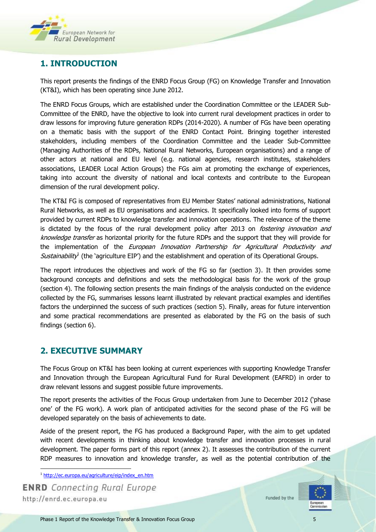

# <span id="page-4-0"></span>**1. INTRODUCTION**

This report presents the findings of the ENRD Focus Group (FG) on Knowledge Transfer and Innovation (KT&I), which has been operating since June 2012.

The ENRD Focus Groups, which are established under the Coordination Committee or the LEADER Sub-Committee of the ENRD, have the objective to look into current rural development practices in order to draw lessons for improving future generation RDPs (2014-2020). A number of FGs have been operating on a thematic basis with the support of the ENRD Contact Point. Bringing together interested stakeholders, including members of the Coordination Committee and the Leader Sub-Committee (Managing Authorities of the RDPs, National Rural Networks, European organisations) and a range of other actors at national and EU level (e.g. national agencies, research institutes, stakeholders associations, LEADER Local Action Groups) the FGs aim at promoting the exchange of experiences, taking into account the diversity of national and local contexts and contribute to the European dimension of the rural development policy.

The KT&I FG is composed of representatives from EU Member States' national administrations, National Rural Networks, as well as EU organisations and academics. It specifically looked into forms of support provided by current RDPs to knowledge transfer and innovation operations. The relevance of the theme is dictated by the focus of the rural development policy after 2013 on *fostering innovation and* knowledge transfer as horizontal priority for the future RDPs and the support that they will provide for the implementation of the European Innovation Partnership for Agricultural Productivity and Sustainability<sup>1</sup> (the `agriculture EIP') and the establishment and operation of its Operational Groups.

The report introduces the objectives and work of the FG so far (section 3). It then provides some background concepts and definitions and sets the methodological basis for the work of the group (section 4). The following section presents the main findings of the analysis conducted on the evidence collected by the FG, summarises lessons learnt illustrated by relevant practical examples and identifies factors the underpinned the success of such practices (section 5). Finally, areas for future intervention and some practical recommendations are presented as elaborated by the FG on the basis of such findings (section 6).

## <span id="page-4-1"></span>**2. EXECUTIVE SUMMARY**

The Focus Group on KT&I has been looking at current experiences with supporting Knowledge Transfer and Innovation through the European Agricultural Fund for Rural Development (EAFRD) in order to draw relevant lessons and suggest possible future improvements.

The report presents the activities of the Focus Group undertaken from June to December 2012 ('phase one' of the FG work). A work plan of anticipated activities for the second phase of the FG will be developed separately on the basis of achievements to date.

Aside of the present report, the FG has produced a Background Paper, with the aim to get updated with recent developments in thinking about knowledge transfer and innovation processes in rural development. The paper forms part of this report (annex 2). It assesses the contribution of the current RDP measures to innovation and knowledge transfer, as well as the potential contribution of the

 $\overline{\phantom{a}}$ <sup>1</sup> [http://ec.europa.eu/agriculture/eip/index\\_en.htm](http://ec.europa.eu/agriculture/eip/index_en.htm)

**ENRD** Connecting Rural Europe http://enrd.ec.europa.eu

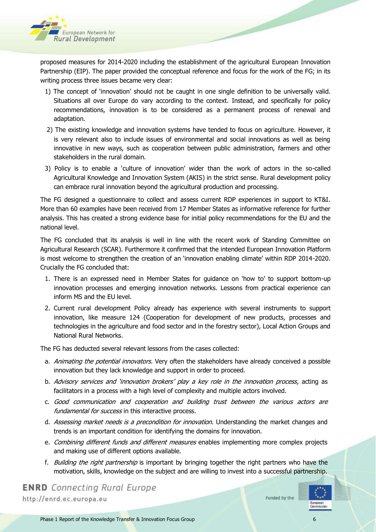

proposed measures for 2014-2020 including the establishment of the agricultural European Innovation Partnership (EIP). The paper provided the conceptual reference and focus for the work of the FG; in its writing process three issues became very clear:

- 1) The concept of 'innovation' should not be caught in one single definition to be universally valid. Situations all over Europe do vary according to the context. Instead, and specifically for policy recommendations, innovation is to be considered as a permanent process of renewal and adaptation.
- 2) The existing knowledge and innovation systems have tended to focus on agriculture. However, it is very relevant also to include issues of environmental and social innovations as well as being innovative in new ways, such as cooperation between public administration, farmers and other stakeholders in the rural domain.
- 3) Policy is to enable a 'culture of innovation' wider than the work of actors in the so-called Agricultural Knowledge and Innovation System (AKIS) in the strict sense. Rural development policy can embrace rural innovation beyond the agricultural production and processing.

The FG designed a questionnaire to collect and assess current RDP experiences in support to KT&I. More than 60 examples have been received from 17 Member States as informative reference for further analysis. This has created a strong evidence base for initial policy recommendations for the EU and the national level.

The FG concluded that its analysis is well in line with the recent work of Standing Committee on Agricultural Research (SCAR). Furthermore it confirmed that the intended European Innovation Platform is most welcome to strengthen the creation of an 'innovation enabling climate' within RDP 2014-2020. Crucially the FG concluded that:

- 1. There is an expressed need in Member States for guidance on 'how to' to support bottom-up innovation processes and emerging innovation networks. Lessons from practical experience can inform MS and the EU level.
- 2. Current rural development Policy already has experience with several instruments to support innovation, like measure 124 (Cooperation for development of new products, processes and technologies in the agriculture and food sector and in the forestry sector), Local Action Groups and National Rural Networks.

The FG has deducted several relevant lessons from the cases collected:

- a. *Animating the potential innovators*. Very often the stakeholders have already conceived a possible innovation but they lack knowledge and support in order to proceed.
- b. Advisory services and 'innovation brokers' play a key role in the innovation process, acting as facilitators in a process with a high level of complexity and multiple actors involved.
- c. Good communication and cooperation and building trust between the various actors are fundamental for success in this interactive process.
- d. Assessing market needs is a precondition for innovation. Understanding the market changes and trends is an important condition for identifying the domains for innovation.
- e. Combining different funds and different measures enables implementing more complex projects and making use of different options available.
- f. *Building the right partnership* is important by bringing together the right partners who have the motivation, skills, knowledge on the subject and are willing to invest into a successful partnership.

**ENRD** Connecting Rural Europe http://enrd.ec.europa.eu

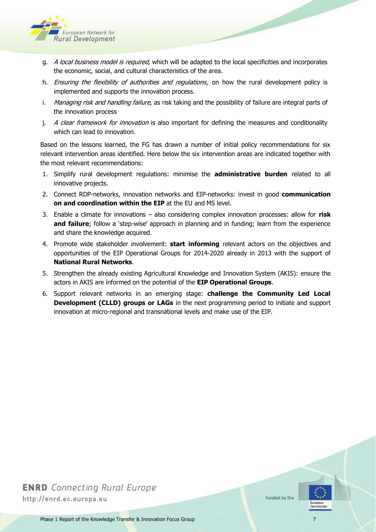

- g. A local business model is required, which will be adapted to the local specificities and incorporates the economic, social, and cultural characteristics of the area.
- h. Ensuring the flexibility of authorities and regulations, on how the rural development policy is implemented and supports the innovation process.
- i. Managing risk and handling failure, as risk taking and the possibility of failure are integral parts of the innovation process
- j. A clear framework for innovation is also important for defining the measures and conditionality which can lead to innovation.

Based on the lessons learned, the FG has drawn a number of initial policy recommendations for six relevant intervention areas identified. Here below the six intervention areas are indicated together with the most relevant recommendations:

- 1. Simplify rural development regulations: minimise the **administrative burden** related to all innovative projects.
- 2. Connect RDP-networks, innovation networks and EIP-networks: invest in good **communication on and coordination within the EIP** at the EU and MS level.
- 3. Enable a climate for innovations also considering complex innovation processes: allow for **risk and failure**; follow a 'step-wise' approach in planning and in funding; learn from the experience and share the knowledge acquired.
- 4. Promote wide stakeholder involvement: **start informing** relevant actors on the objectives and opportunities of the EIP Operational Groups for 2014-2020 already in 2013 with the support of **National Rural Networks**.
- 5. Strengthen the already existing Agricultural Knowledge and Innovation System (AKIS): ensure the actors in AKIS are informed on the potential of the **EIP Operational Groups**.
- 6. Support relevant networks in an emerging stage: **challenge the Community Led Local Development (CLLD) groups or LAGs** in the next programming period to initiate and support innovation at micro-regional and transnational levels and make use of the EIP.

# **ENRD** Connecting Rural Europe http://enrd.ec.europa.eu



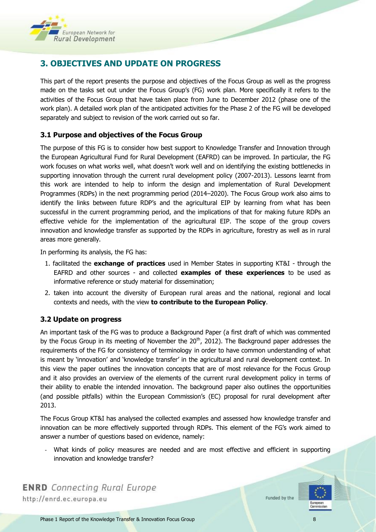

# <span id="page-7-0"></span>**3. OBJECTIVES AND UPDATE ON PROGRESS**

This part of the report presents the purpose and objectives of the Focus Group as well as the progress made on the tasks set out under the Focus Group's (FG) work plan. More specifically it refers to the activities of the Focus Group that have taken place from June to December 2012 (phase one of the work plan). A detailed work plan of the anticipated activities for the Phase 2 of the FG will be developed separately and subject to revision of the work carried out so far.

#### <span id="page-7-1"></span>**3.1 Purpose and objectives of the Focus Group**

The purpose of this FG is to consider how best support to Knowledge Transfer and Innovation through the European Agricultural Fund for Rural Development (EAFRD) can be improved. In particular, the FG work focuses on what works well, what doesn't work well and on identifying the existing bottlenecks in supporting innovation through the current rural development policy (2007-2013). Lessons learnt from this work are intended to help to inform the design and implementation of Rural Development Programmes (RDPs) in the next programming period (2014–2020). The Focus Group work also aims to identify the links between future RDP's and the agricultural EIP by learning from what has been successful in the current programming period, and the implications of that for making future RDPs an effective vehicle for the implementation of the agricultural EIP. The scope of the group covers innovation and knowledge transfer as supported by the RDPs in agriculture, forestry as well as in rural areas more generally.

In performing its analysis, the FG has:

- 1. facilitated the **exchange of practices** used in Member States in supporting KT&I through the EAFRD and other sources - and collected **examples of these experiences** to be used as informative reference or study material for dissemination;
- 2. taken into account the diversity of European rural areas and the national, regional and local contexts and needs, with the view **to contribute to the European Policy**.

#### <span id="page-7-2"></span>**3.2 Update on progress**

An important task of the FG was to produce a Background Paper (a first draft of which was commented by the Focus Group in its meeting of November the  $20<sup>th</sup>$ , 2012). The Background paper addresses the requirements of the FG for consistency of terminology in order to have common understanding of what is meant by 'innovation' and 'knowledge transfer' in the agricultural and rural development context. In this view the paper outlines the innovation concepts that are of most relevance for the Focus Group and it also provides an overview of the elements of the current rural development policy in terms of their ability to enable the intended innovation. The background paper also outlines the opportunities (and possible pitfalls) within the European Commission's (EC) proposal for rural development after 2013.

The Focus Group KT&I has analysed the collected examples and assessed how knowledge transfer and innovation can be more effectively supported through RDPs. This element of the FG's work aimed to answer a number of questions based on evidence, namely:

What kinds of policy measures are needed and are most effective and efficient in supporting innovation and knowledge transfer?

**ENRD** Connecting Rural Europe http://enrd.ec.europa.eu

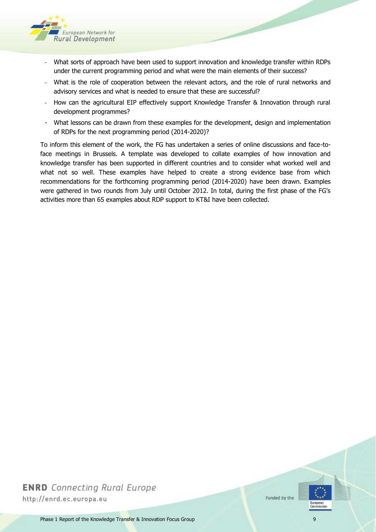

- What sorts of approach have been used to support innovation and knowledge transfer within RDPs under the current programming period and what were the main elements of their success?
- What is the role of cooperation between the relevant actors, and the role of rural networks and advisory services and what is needed to ensure that these are successful?
- How can the agricultural EIP effectively support Knowledge Transfer & Innovation through rural development programmes?
- What lessons can be drawn from these examples for the development, design and implementation of RDPs for the next programming period (2014-2020)?

To inform this element of the work, the FG has undertaken a series of online discussions and face-toface meetings in Brussels. A template was developed to collate examples of how innovation and knowledge transfer has been supported in different countries and to consider what worked well and what not so well. These examples have helped to create a strong evidence base from which recommendations for the forthcoming programming period (2014-2020) have been drawn. Examples were gathered in two rounds from July until October 2012. In total, during the first phase of the FG's activities more than 65 examples about RDP support to KT&I have been collected.

# **ENRD** Connecting Rural Europe http://enrd.ec.europa.eu



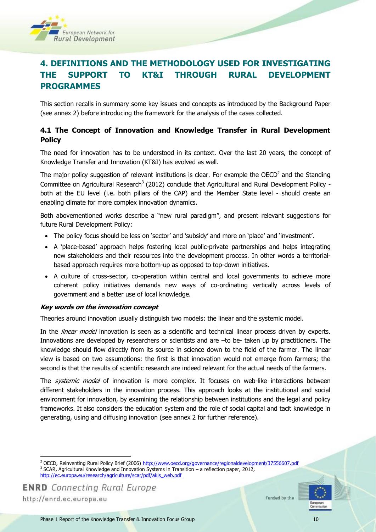

# <span id="page-9-0"></span>**4. DEFINITIONS AND THE METHODOLOGY USED FOR INVESTIGATING THE SUPPORT TO KT&I THROUGH RURAL DEVELOPMENT PROGRAMMES**

This section recalls in summary some key issues and concepts as introduced by the Background Paper (see annex 2) before introducing the framework for the analysis of the cases collected.

#### <span id="page-9-1"></span>**4.1 The Concept of Innovation and Knowledge Transfer in Rural Development Policy**

The need for innovation has to be understood in its context. Over the last 20 years, the concept of Knowledge Transfer and Innovation (KT&I) has evolved as well.

The major policy suggestion of relevant institutions is clear. For example the OECD<sup>2</sup> and the Standing Committee on Agricultural Research<sup>3</sup> (2012) conclude that Agricultural and Rural Development Policy both at the EU level (i.e. both pillars of the CAP) and the Member State level - should create an enabling climate for more complex innovation dynamics.

Both abovementioned works describe a "new rural paradigm", and present relevant suggestions for future Rural Development Policy:

- The policy focus should be less on 'sector' and 'subsidy' and more on 'place' and 'investment'.
- A 'place-based' approach helps fostering local public-private partnerships and helps integrating new stakeholders and their resources into the development process. In other words a territorialbased approach requires more bottom-up as opposed to top-down initiatives.
- A culture of cross-sector, co-operation within central and local governments to achieve more coherent policy initiatives demands new ways of co-ordinating vertically across levels of government and a better use of local knowledge.

#### **Key words on the innovation concept**

Theories around innovation usually distinguish two models: the linear and the systemic model.

In the *linear model* innovation is seen as a scientific and technical linear process driven by experts. Innovations are developed by researchers or scientists and are –to be- taken up by practitioners. The knowledge should flow directly from its source in science down to the field of the farmer. The linear view is based on two assumptions: the first is that innovation would not emerge from farmers; the second is that the results of scientific research are indeed relevant for the actual needs of the farmers.

The *systemic model* of innovation is more complex. It focuses on web-like interactions between different stakeholders in the innovation process. This approach looks at the institutional and social environment for innovation, by examining the relationship between institutions and the legal and policy frameworks. It also considers the education system and the role of social capital and tacit knowledge in generating, using and diffusing innovation (see annex 2 for further reference).

 $\overline{a}$ 



<sup>&</sup>lt;sup>2</sup> OECD, Reinventing Rural Policy Brief (2006)<http://www.oecd.org/governance/regionaldevelopment/37556607.pdf> 3 SCAR, Agricultural Knowledge and Innovation Systems in Transition – a reflection paper, 2012, [http://ec.europa.eu/research/agriculture/scar/pdf/akis\\_web.pdf](http://ec.europa.eu/research/agriculture/scar/pdf/akis_web.pdf)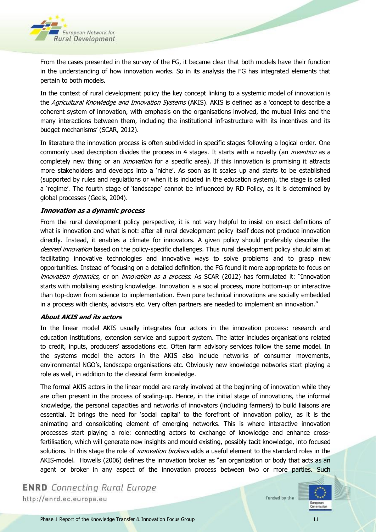

From the cases presented in the survey of the FG, it became clear that both models have their function in the understanding of how innovation works. So in its analysis the FG has integrated elements that pertain to both models.

In the context of rural development policy the key concept linking to a systemic model of innovation is the Agricultural Knowledge and Innovation Systems (AKIS). AKIS is defined as a 'concept to describe a coherent system of innovation, with emphasis on the organisations involved, the mutual links and the many interactions between them, including the institutional infrastructure with its incentives and its budget mechanisms' (SCAR, 2012).

In literature the innovation process is often subdivided in specific stages following a logical order. One commonly used description divides the process in 4 stages. It starts with a novelty (an *invention* as a completely new thing or an *innovation* for a specific area). If this innovation is promising it attracts more stakeholders and develops into a 'niche'. As soon as it scales up and starts to be established (supported by rules and regulations or when it is included in the education system), the stage is called a 'regime'. The fourth stage of 'landscape' cannot be influenced by RD Policy, as it is determined by global processes (Geels, 2004).

#### **Innovation as a dynamic process**

From the rural development policy perspective, it is not very helpful to insist on exact definitions of what is innovation and what is not: after all rural development policy itself does not produce innovation directly. Instead, it enables a climate for innovators. A given policy should preferably describe the desired innovation based on the policy-specific challenges. Thus rural development policy should aim at facilitating innovative technologies and innovative ways to solve problems and to grasp new opportunities. Instead of focusing on a detailed definition, the FG found it more appropriate to focus on innovation dynamics, or on innovation as a process. As SCAR (2012) has formulated it: "Innovation starts with mobilising existing knowledge. Innovation is a social process, more bottom-up or interactive than top-down from science to implementation. Even pure technical innovations are socially embedded in a process with clients, advisors etc. Very often partners are needed to implement an innovation."

#### **About AKIS and its actors**

In the linear model AKIS usually integrates four actors in the innovation process: research and education institutions, extension service and support system. The latter includes organisations related to credit, inputs, producers' associations etc. Often farm advisory services follow the same model. In the systems model the actors in the AKIS also include networks of consumer movements, environmental NGO's, landscape organisations etc. Obviously new knowledge networks start playing a role as well, in addition to the classical farm knowledge.

The formal AKIS actors in the linear model are rarely involved at the beginning of innovation while they are often present in the process of scaling-up. Hence, in the initial stage of innovations, the informal knowledge, the personal capacities and networks of innovators (including farmers) to build liaisons are essential. It brings the need for 'social capital' to the forefront of innovation policy, as it is the animating and consolidating element of emerging networks. This is where interactive innovation processes start playing a role: connecting actors to exchange of knowledge and enhance crossfertilisation, which will generate new insights and mould existing, possibly tacit knowledge, into focused solutions. In this stage the role of *innovation brokers* adds a useful element to the standard roles in the AKIS-model. Howells (2006) defines the innovation broker as "an organization or body that acts as an agent or broker in any aspect of the innovation process between two or more parties. Such

**ENRD** Connecting Rural Europe http://enrd.ec.europa.eu

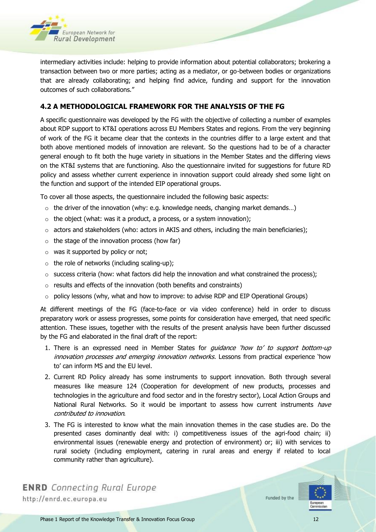

intermediary activities include: helping to provide information about potential collaborators; brokering a transaction between two or more parties; acting as a mediator, or go-between bodies or organizations that are already collaborating; and helping find advice, funding and support for the innovation outcomes of such collaborations."

#### <span id="page-11-0"></span>**4.2 A METHODOLOGICAL FRAMEWORK FOR THE ANALYSIS OF THE FG**

A specific questionnaire was developed by the FG with the objective of collecting a number of examples about RDP support to KT&I operations across EU Members States and regions. From the very beginning of work of the FG it became clear that the contexts in the countries differ to a large extent and that both above mentioned models of innovation are relevant. So the questions had to be of a character general enough to fit both the huge variety in situations in the Member States and the differing views on the KT&I systems that are functioning. Also the questionnaire invited for suggestions for future RD policy and assess whether current experience in innovation support could already shed some light on the function and support of the intended EIP operational groups.

To cover all those aspects, the questionnaire included the following basic aspects:

- $\circ$  the driver of the innovation (why: e.g. knowledge needs, changing market demands...)
- $\circ$  the object (what: was it a product, a process, or a system innovation);
- $\circ$  actors and stakeholders (who: actors in AKIS and others, including the main beneficiaries);
- $\circ$  the stage of the innovation process (how far)
- $\circ$  was it supported by policy or not;
- $\circ$  the role of networks (including scaling-up);
- $\circ$  success criteria (how: what factors did help the innovation and what constrained the process);
- o results and effects of the innovation (both benefits and constraints)
- $\circ$  policy lessons (why, what and how to improve: to advise RDP and EIP Operational Groups)

At different meetings of the FG (face-to-face or via video conference) held in order to discuss preparatory work or assess progresses, some points for consideration have emerged, that need specific attention. These issues, together with the results of the present analysis have been further discussed by the FG and elaborated in the final draft of the report:

- 1. There is an expressed need in Member States for *guidance 'how to' to support bottom-up* innovation processes and emerging innovation networks. Lessons from practical experience 'how to' can inform MS and the EU level.
- 2. Current RD Policy already has some instruments to support innovation. Both through several measures like measure 124 (Cooperation for development of new products, processes and technologies in the agriculture and food sector and in the forestry sector), Local Action Groups and National Rural Networks. So it would be important to assess how current instruments have contributed to innovation.
- 3. The FG is interested to know what the main innovation themes in the case studies are. Do the presented cases dominantly deal with: i) competitiveness issues of the agri-food chain; ii) environmental issues (renewable energy and protection of environment) or; iii) with services to rural society (including employment, catering in rural areas and energy if related to local community rather than agriculture).

**ENRD** Connecting Rural Europe http://enrd.ec.europa.eu

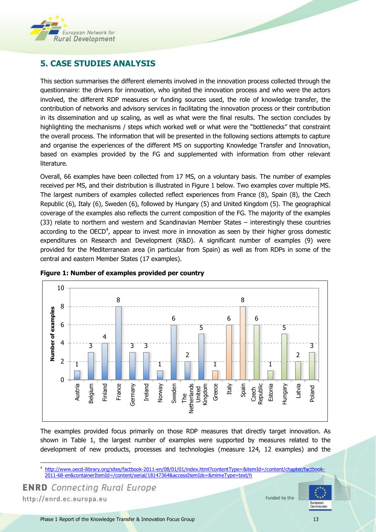

# <span id="page-12-0"></span>**5. CASE STUDIES ANALYSIS**

This section summarises the different elements involved in the innovation process collected through the questionnaire: the drivers for innovation, who ignited the innovation process and who were the actors involved, the different RDP measures or funding sources used, the role of knowledge transfer, the contribution of networks and advisory services in facilitating the innovation process or their contribution in its dissemination and up scaling, as well as what were the final results. The section concludes by highlighting the mechanisms / steps which worked well or what were the "bottlenecks" that constraint the overall process. The information that will be presented in the following sections attempts to capture and organise the experiences of the different MS on supporting Knowledge Transfer and Innovation, based on examples provided by the FG and supplemented with information from other relevant literature.

Overall, 66 examples have been collected from 17 MS, on a voluntary basis. The number of examples received per MS, and their distribution is illustrated in Figure 1 below. Two examples cover multiple MS. The largest numbers of examples collected reflect experiences from France (8), Spain (8), the Czech Republic (6), Italy (6), Sweden (6), followed by Hungary (5) and United Kingdom (5). The geographical coverage of the examples also reflects the current composition of the FG. The majority of the examples (33) relate to northern and western and Scandinavian Member States – interestingly these countries according to the OECD<sup>4</sup>, appear to invest more in innovation as seen by their higher gross domestic expenditures on Research and Development (R&D). A significant number of examples (9) were provided for the Mediterranean area (in particular from Spain) as well as from RDPs in some of the central and eastern Member States (17 examples).



<span id="page-12-1"></span>

The examples provided focus primarily on those RDP measures that directly target innovation. As shown in Table 1, the largest number of examples were supported by measures related to the development of new products, processes and technologies (measure 124, 12 examples) and the

**ENRD** Connecting Rural Europe http://enrd.ec.europa.eu



 $\overline{a}$ 4 [http://www.oecd-ilibrary.org/sites/factbook-2011-en/08/01/01/index.html?contentType=&itemId=/content/chapter/factbook-](http://www.oecd-ilibrary.org/sites/factbook-2011-en/08/01/01/index.html?contentType=&itemId=/content/chapter/factbook-2011-68-en&containerItemId=/content/serial/18147364&accessItemIds=&mimeType=text/h)[2011-68-en&containerItemId=/content/serial/18147364&accessItemIds=&mimeType=text/h](http://www.oecd-ilibrary.org/sites/factbook-2011-en/08/01/01/index.html?contentType=&itemId=/content/chapter/factbook-2011-68-en&containerItemId=/content/serial/18147364&accessItemIds=&mimeType=text/h)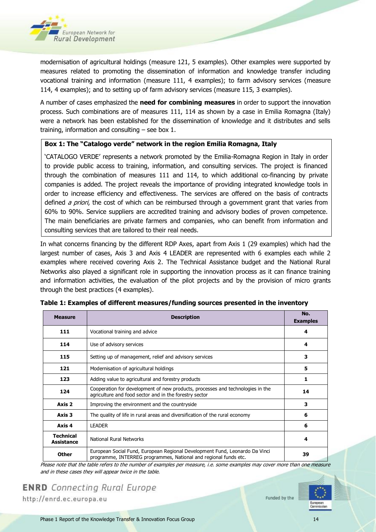

modernisation of agricultural holdings (measure 121, 5 examples). Other examples were supported by measures related to promoting the dissemination of information and knowledge transfer including vocational training and information (measure 111, 4 examples); to farm advisory services (measure 114, 4 examples); and to setting up of farm advisory services (measure 115, 3 examples).

A number of cases emphasized the **need for combining measures** in order to support the innovation process. Such combinations are of measures 111, 114 as shown by a case in Emilia Romagna (Italy) were a network has been established for the dissemination of knowledge and it distributes and sells training, information and consulting  $-$  see box 1.

#### <span id="page-13-1"></span>**Box 1: The "Catalogo verde" network in the region Emilia Romagna, Italy**

'CATALOGO VERDE' represents a network promoted by the Emilia-Romagna Region in Italy in order to provide public access to training, information, and consulting services. The project is financed through the combination of measures 111 and 114, to which additional co-financing by private companies is added. The project reveals the importance of providing integrated knowledge tools in order to increase efficiency and effectiveness. The services are offered on the basis of contracts defined *a priori*, the cost of which can be reimbursed through a government grant that varies from 60% to 90%. Service suppliers are accredited training and advisory bodies of proven competence. The main beneficiaries are private farmers and companies, who can benefit from information and consulting services that are tailored to their real needs.

In what concerns financing by the different RDP Axes, apart from Axis 1 (29 examples) which had the largest number of cases, Axis 3 and Axis 4 LEADER are represented with 6 examples each while 2 examples where received covering Axis 2. The Technical Assistance budget and the National Rural Networks also played a significant role in supporting the innovation process as it can finance training and information activities, the evaluation of the pilot projects and by the provision of micro grants through the best practices (4 examples).

| <b>Measure</b>                        | <b>Description</b>                                                                                                                                    | No.<br><b>Examples</b> |  |  |
|---------------------------------------|-------------------------------------------------------------------------------------------------------------------------------------------------------|------------------------|--|--|
| 111                                   | Vocational training and advice<br>4                                                                                                                   |                        |  |  |
| 114                                   | Use of advisory services                                                                                                                              | 4                      |  |  |
| 115                                   | Setting up of management, relief and advisory services                                                                                                | 3                      |  |  |
| 121                                   | Modernisation of agricultural holdings                                                                                                                | 5                      |  |  |
| 123                                   | Adding value to agricultural and forestry products                                                                                                    | 1                      |  |  |
| 124                                   | Cooperation for development of new products, processes and technologies in the<br>14<br>agriculture and food sector and in the forestry sector        |                        |  |  |
| Axis 2                                | Improving the environment and the countryside                                                                                                         | 3                      |  |  |
| Axis 3                                | The quality of life in rural areas and diversification of the rural economy                                                                           | 6                      |  |  |
| Axis 4                                | <b>LEADER</b><br>6                                                                                                                                    |                        |  |  |
| <b>Technical</b><br><b>Assistance</b> | National Rural Networks<br>4                                                                                                                          |                        |  |  |
| <b>Other</b>                          | European Social Fund, European Regional Development Fund, Leonardo Da Vinci<br>39<br>programme, INTERREG programmes, National and regional funds etc. |                        |  |  |

<span id="page-13-0"></span>

Please note that the table refers to the number of examples per measure, i.e. some examples may cover more than one measure and in these cases they will appear twice in the table.



**ENRD** Connecting Rural Europe http://enrd.ec.europa.eu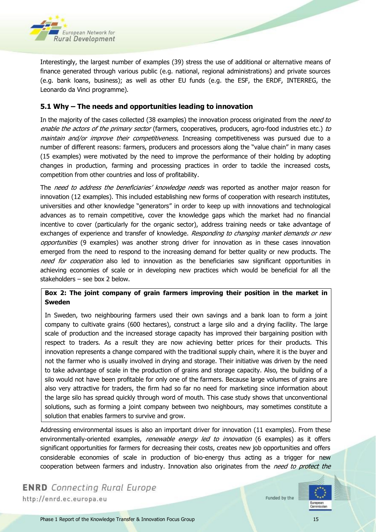

Interestingly, the largest number of examples (39) stress the use of additional or alternative means of finance generated through various public (e.g. national, regional administrations) and private sources (e.g. bank loans, business); as well as other EU funds (e.g. the ESF, the ERDF, INTERREG, the Leonardo da Vinci programme).

#### <span id="page-14-0"></span>**5.1 Why – The needs and opportunities leading to innovation**

In the majority of the cases collected (38 examples) the innovation process originated from the need to enable the actors of the primary sector (farmers, cooperatives, producers, agro-food industries etc.) to maintain and/or improve their competitiveness. Increasing competitiveness was pursued due to a number of different reasons: farmers, producers and processors along the "value chain" in many cases (15 examples) were motivated by the need to improve the performance of their holding by adopting changes in production, farming and processing practices in order to tackle the increased costs, competition from other countries and loss of profitability.

The need to address the beneficiaries' knowledge needs was reported as another major reason for innovation (12 examples). This included establishing new forms of cooperation with research institutes, universities and other knowledge "generators" in order to keep up with innovations and technological advances as to remain competitive, cover the knowledge gaps which the market had no financial incentive to cover (particularly for the organic sector), address training needs or take advantage of exchanges of experience and transfer of knowledge. Responding to changing market demands or new opportunities (9 examples) was another strong driver for innovation as in these cases innovation emerged from the need to respond to the increasing demand for better quality or new products. The need for cooperation also led to innovation as the beneficiaries saw significant opportunities in achieving economies of scale or in developing new practices which would be beneficial for all the stakeholders – see box 2 below.

#### <span id="page-14-1"></span>**Box 2: The joint company of grain farmers improving their position in the market in Sweden**

In Sweden, two neighbouring farmers used their own savings and a bank loan to form a joint company to cultivate grains (600 hectares), construct a large silo and a drying facility. The large scale of production and the increased storage capacity has improved their bargaining position with respect to traders. As a result they are now achieving better prices for their products. This innovation represents a change compared with the traditional supply chain, where it is the buyer and not the farmer who is usually involved in drying and storage. Their initiative was driven by the need to take advantage of scale in the production of grains and storage capacity. Also, the building of a silo would not have been profitable for only one of the farmers. Because large volumes of grains are also very attractive for traders, the firm had so far no need for marketing since information about the large silo has spread quickly through word of mouth. This case study shows that unconventional solutions, such as forming a joint company between two neighbours, may sometimes constitute a solution that enables farmers to survive and grow.

Addressing environmental issues is also an important driver for innovation (11 examples). From these environmentally-oriented examples, renewable energy led to innovation (6 examples) as it offers significant opportunities for farmers for decreasing their costs, creates new job opportunities and offers considerable economies of scale in production of bio-energy thus acting as a trigger for new cooperation between farmers and industry. Innovation also originates from the need to protect the

**ENRD** Connecting Rural Europe http://enrd.ec.europa.eu



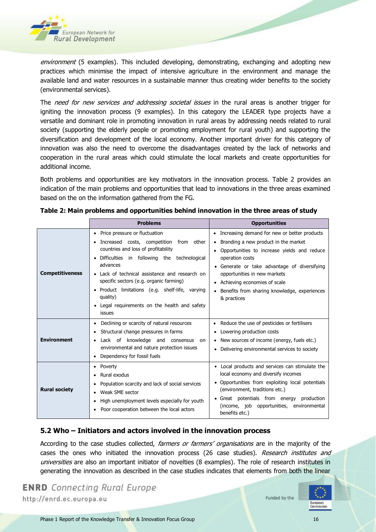

environment (5 examples). This included developing, demonstrating, exchanging and adopting new practices which minimise the impact of intensive agriculture in the environment and manage the available land and water resources in a sustainable manner thus creating wider benefits to the society (environmental services).

The need for new services and addressing societal issues in the rural areas is another trigger for igniting the innovation process (9 examples). In this category the LEADER type projects have a versatile and dominant role in promoting innovation in rural areas by addressing needs related to rural society (supporting the elderly people or promoting employment for rural youth) and supporting the diversification and development of the local economy. Another important driver for this category of innovation was also the need to overcome the disadvantages created by the lack of networks and cooperation in the rural areas which could stimulate the local markets and create opportunities for additional income.

Both problems and opportunities are key motivators in the innovation process. Table 2 provides an indication of the main problems and opportunities that lead to innovations in the three areas examined based on the on the information gathered from the FG.

|                        | <b>Problems</b>                                                                                                                                                                                                                                                                                                                                                                                 | <b>Opportunities</b>                                                                                                                                                                                                                                                                                                                                    |  |  |  |
|------------------------|-------------------------------------------------------------------------------------------------------------------------------------------------------------------------------------------------------------------------------------------------------------------------------------------------------------------------------------------------------------------------------------------------|---------------------------------------------------------------------------------------------------------------------------------------------------------------------------------------------------------------------------------------------------------------------------------------------------------------------------------------------------------|--|--|--|
| <b>Competitiveness</b> | Price pressure or fluctuation<br>Increased costs, competition from other<br>countries and loss of profitability<br>Difficulties in following the technological<br>advances<br>• Lack of technical assistance and research on<br>specific sectors (e.g. organic farming)<br>• Product limitations (e.g. shelf-life, varying<br>quality)<br>Legal requirements on the health and safety<br>issues | Increasing demand for new or better products<br>٠<br>Branding a new product in the market<br>Opportunities to increase yields and reduce<br>$\bullet$<br>operation costs<br>• Generate or take advantage of diversifying<br>opportunities in new markets<br>Achieving economies of scale<br>Benefits from sharing knowledge, experiences<br>& practices |  |  |  |
| <b>Environment</b>     | Declining or scarcity of natural resources<br>Structural change pressures in farms<br>Lack of knowledge and consensus<br>on<br>environmental and nature protection issues<br>Dependency for fossil fuels                                                                                                                                                                                        | Reduce the use of pesticides or fertilisers<br>Lowering production costs<br>New sources of income (energy, fuels etc.)<br>Delivering environmental services to society                                                                                                                                                                                  |  |  |  |
| <b>Rural society</b>   | Poverty<br>Rural exodus<br>Population scarcity and lack of social services<br>Weak SME sector<br>High unemployment levels especially for youth<br>Poor cooperation between the local actors                                                                                                                                                                                                     | Local products and services can stimulate the<br>local economy and diversify incomes<br>Opportunities from exploiting local potentials<br>(environment, traditions etc.)<br>Great potentials from energy<br>production<br>(income, job opportunities, environmental<br>benefits etc.)                                                                   |  |  |  |

<span id="page-15-1"></span>

#### <span id="page-15-0"></span>**5.2 Who – Initiators and actors involved in the innovation process**

According to the case studies collected, *farmers or farmers' organisations* are in the majority of the cases the ones who initiated the innovation process (26 case studies). Research institutes and universities are also an important initiator of novelties (8 examples). The role of research institutes in generating the innovation as described in the case studies indicates that elements from both the linear

```
ENRD Connecting Rural Europe
http://enrd.ec.europa.eu
```
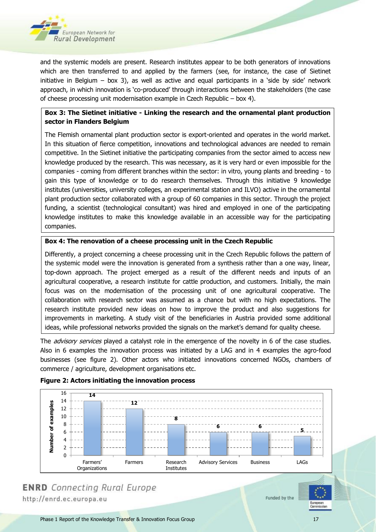

and the systemic models are present. Research institutes appear to be both generators of innovations which are then transferred to and applied by the farmers (see, for instance, the case of Sietinet initiative in Belgium – box 3), as well as active and equal participants in a 'side by side' network approach, in which innovation is 'co-produced' through interactions between the stakeholders (the case of cheese processing unit modernisation example in Czech Republic – box 4).

#### <span id="page-16-1"></span>**Box 3: The Sietinet initiative - Linking the research and the ornamental plant production sector in Flanders Belgium**

The Flemish ornamental plant production sector is export-oriented and operates in the world market. In this situation of fierce competition, innovations and technological advances are needed to remain competitive. In the Sietinet initiative the participating companies from the sector aimed to access new knowledge produced by the research. This was necessary, as it is very hard or even impossible for the companies - coming from different branches within the sector: in vitro, young plants and breeding - to gain this type of knowledge or to do research themselves. Through this initiative 9 knowledge institutes (universities, university colleges, an experimental station and ILVO) active in the ornamental plant production sector collaborated with a group of 60 companies in this sector. Through the project funding, a scientist (technological consultant) was hired and employed in one of the participating knowledge institutes to make this knowledge available in an accessible way for the participating companies.

#### <span id="page-16-2"></span>**Box 4: The renovation of a cheese processing unit in the Czech Republic**

Differently, a project concerning a cheese processing unit in the Czech Republic follows the pattern of the systemic model were the innovation is generated from a synthesis rather than a one way, linear, top-down approach. The project emerged as a result of the different needs and inputs of an agricultural cooperative, a research institute for cattle production, and customers. Initially, the main focus was on the modernisation of the processing unit of one agricultural cooperative. The collaboration with research sector was assumed as a chance but with no high expectations. The research institute provided new ideas on how to improve the product and also suggestions for improvements in marketing. A study visit of the beneficiaries in Austria provided some additional ideas, while professional networks provided the signals on the market's demand for quality cheese.

The *advisory services* played a catalyst role in the emergence of the novelty in 6 of the case studies. Also in 6 examples the innovation process was initiated by a LAG and in 4 examples the agro-food businesses (see figure 2). Other actors who initiated innovations concerned NGOs, chambers of commerce / agriculture, development organisations etc.



#### <span id="page-16-0"></span>**Figure 2: Actors initiating the innovation process**



**ENRD** Connecting Rural Europe http://enrd.ec.europa.eu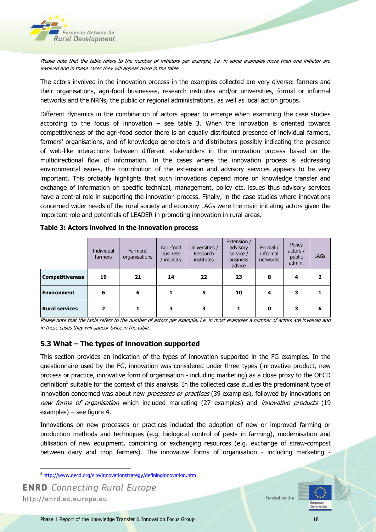

Please note that the table refers to the number of initiators per example, i.e. in some examples more than one initiator are involved and in these cases they will appear twice in the table.

The actors involved in the innovation process in the examples collected are very diverse: farmers and their organisations, agri-food businesses, research institutes and/or universities, formal or informal networks and the NRNs, the public or regional administrations, as well as local action groups.

Different dynamics in the combination of actors appear to emerge when examining the case studies according to the focus of innovation  $-$  see table 3. When the innovation is oriented towards competitiveness of the agri-food sector there is an equally distributed presence of individual farmers, farmers' organisations, and of knowledge generators and distributors possibly indicating the presence of web-like interactions between different stakeholders in the innovation process based on the multidirectional flow of information. In the cases where the innovation process is addressing environmental issues, the contribution of the extension and advisory services appears to be very important. This probably highlights that such innovations depend more on knowledge transfer and exchange of information on specific technical, management, policy etc. issues thus advisory services have a central role in supporting the innovation process. Finally, in the case studies where innovations concerned wider needs of the rural society and economy LAGs were the main initiating actors given the important role and potentials of LEADER in promoting innovation in rural areas.

|                        | Individual<br>farmers   | Farmers'<br>organisations | Agri-food<br>business<br>' industry | Universities /<br>Research<br>institutes | Extension /<br>advisory<br>service /<br>business<br>advice | Formal /<br>informal<br>networks | Policy<br>actors /<br>public<br>admin. | <b>LAGs</b> |
|------------------------|-------------------------|---------------------------|-------------------------------------|------------------------------------------|------------------------------------------------------------|----------------------------------|----------------------------------------|-------------|
| <b>Competitiveness</b> | 19                      | 21                        | 14                                  | 22                                       | 23                                                         | 8                                | 4                                      |             |
| <b>Environment</b>     | 6                       | 6                         |                                     | 5                                        | 10                                                         | 4                                | з                                      |             |
| <b>Rural services</b>  | $\overline{\mathbf{2}}$ |                           | 3                                   | 3                                        |                                                            | 0                                | 3                                      | 6           |

<span id="page-17-1"></span>**Table 3: Actors involved in the innovation process**

Please note that the table refers to the number of actors per example, i.e. in most examples a number of actors are involved and in these cases they will appear twice in the table.

#### <span id="page-17-0"></span>**5.3 What – The types of innovation supported**

This section provides an indication of the types of innovation supported in the FG examples. In the questionnaire used by the FG, innovation was considered under three types (innovative product, new process or practice, innovative form of organisation - including marketing) as a close proxy to the OECD definition<sup>5</sup> suitable for the context of this analysis. In the collected case studies the predominant type of innovation concerned was about new *processes or practices* (39 examples), followed by innovations on new forms of organisation which included marketing (27 examples) and *innovative products* (19 examples) – see figure 4.

Innovations on new processes or practices included the adoption of new or improved farming or production methods and techniques (e.g. biological control of pests in farming), modernisation and utilisation of new equipment, combining or exchanging resources (e.g. exchange of straw-compost between dairy and crop farmers). The innovative forms of organisation - including marketing -

 $\overline{\phantom{a}}$ <sup>5</sup> <http://www.oecd.org/site/innovationstrategy/defininginnovation.htm>

**ENRD** Connecting Rural Europe http://enrd.ec.europa.eu

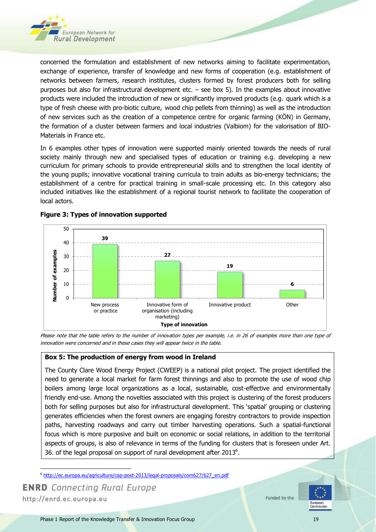

concerned the formulation and establishment of new networks aiming to facilitate experimentation, exchange of experience, transfer of knowledge and new forms of cooperation (e.g. establishment of networks between farmers, research institutes, clusters formed by forest producers both for selling purposes but also for infrastructural development etc. – see box 5). In the examples about innovative products were included the introduction of new or significantly improved products (e.g. quark which is a type of fresh cheese with pro-biotic culture, wood chip pellets from thinning) as well as the introduction of new services such as the creation of a competence centre for organic farming (KÖN) in Germany, the formation of a cluster between farmers and local industries (Valbiom) for the valorisation of BIO-Materials in France etc.

In 6 examples other types of innovation were supported mainly oriented towards the needs of rural society mainly through new and specialised types of education or training e.g. developing a new curriculum for primary schools to provide entrepreneurial skills and to strengthen the local identity of the young pupils; innovative vocational training curricula to train adults as bio-energy technicians; the establishment of a centre for practical training in small-scale processing etc. In this category also included initiatives like the establishment of a regional tourist network to facilitate the cooperation of local actors.



#### <span id="page-18-0"></span>**Figure 3: Types of innovation supported**

Please note that the table refers to the number of innovation types per example, i.e. in 26 of examples more than one type of innovation were concerned and in these cases they will appear twice in the table.

#### <span id="page-18-1"></span>**Box 5: The production of energy from wood in Ireland**

The County Clare Wood Energy Project (CWEEP) is a national pilot project. The project identified the need to generate a local market for farm forest thinnings and also to promote the use of wood chip boilers among large local organizations as a local, sustainable, cost-effective and environmentally friendly end-use. Among the novelties associated with this project is clustering of the forest producers both for selling purposes but also for infrastructural development. This 'spatial' grouping or clustering generates efficiencies when the forest owners are engaging forestry contractors to provide inspection paths, harvesting roadways and carry out timber harvesting operations. Such a spatial-functional focus which is more purposive and built on economic or social relations, in addition to the territorial aspects of groups, is also of relevance in terms of the funding for clusters that is foreseen under Art. 36. of the legal proposal on support of rural development after 2013 $<sup>6</sup>$ .</sup>

**ENRD** Connecting Rural Europe http://enrd.ec.europa.eu



 $\overline{\phantom{a}}$ <sup>6</sup> [http://ec.europa.eu/agriculture/cap-post-2013/legal-proposals/com627/627\\_en.pdf](http://ec.europa.eu/agriculture/cap-post-2013/legal-proposals/com627/627_en.pdf)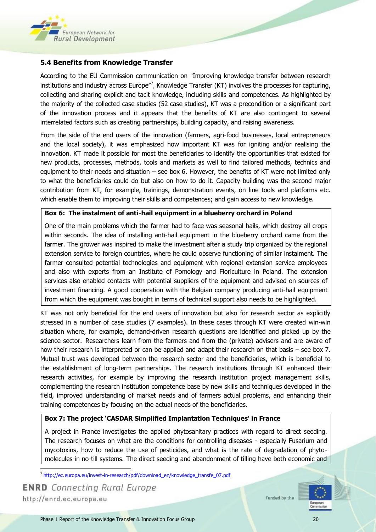

#### <span id="page-19-0"></span>**5.4 Benefits from Knowledge Transfer**

According to the EU Commission communication on "Improving knowledge transfer between research institutions and industry across Europe"<sup>7</sup>, Knowledge Transfer (KT) involves the processes for capturing, collecting and sharing explicit and tacit knowledge, including skills and competences. As highlighted by the majority of the collected case studies (52 case studies), KT was a precondition or a significant part of the innovation process and it appears that the benefits of KT are also contingent to several interrelated factors such as creating partnerships, building capacity, and raising awareness.

From the side of the end users of the innovation (farmers, agri-food businesses, local entrepreneurs and the local society), it was emphasized how important KT was for igniting and/or realising the innovation. KT made it possible for most the beneficiaries to identify the opportunities that existed for new products, processes, methods, tools and markets as well to find tailored methods, technics and equipment to their needs and situation – see box 6. However, the benefits of KT were not limited only to what the beneficiaries could do but also on how to do it. Capacity building was the second major contribution from KT, for example, trainings, demonstration events, on line tools and platforms etc. which enable them to improving their skills and competences; and gain access to new knowledge.

#### <span id="page-19-1"></span>**Box 6: The instalment of anti-hail equipment in a blueberry orchard in Poland**

One of the main problems which the farmer had to face was seasonal hails, which destroy all crops within seconds. The idea of installing anti-hail equipment in the blueberry orchard came from the farmer. The grower was inspired to make the investment after a study trip organized by the regional extension service to foreign countries, where he could observe functioning of similar instalment. The farmer consulted potential technologies and equipment with regional extension service employees and also with experts from an Institute of Pomology and Floriculture in Poland. The extension services also enabled contacts with potential suppliers of the equipment and advised on sources of investment financing. A good cooperation with the Belgian company producing anti-hail equipment from which the equipment was bought in terms of technical support also needs to be highlighted.

KT was not only beneficial for the end users of innovation but also for research sector as explicitly stressed in a number of case studies (7 examples). In these cases through KT were created win-win situation where, for example, demand-driven research questions are identified and picked up by the science sector. Researchers learn from the farmers and from the (private) advisers and are aware of how their research is interpreted or can be applied and adapt their research on that basis – see box 7. Mutual trust was developed between the research sector and the beneficiaries, which is beneficial to the establishment of long-term partnerships. The research institutions through KT enhanced their research activities, for example by improving the research institution project management skills, complementing the research institution competence base by new skills and techniques developed in the field, improved understanding of market needs and of farmers actual problems, and enhancing their training competences by focusing on the actual needs of the beneficiaries.

#### <span id="page-19-2"></span>**Box 7: The project 'CASDAR Simplified Implantation Techniques' in France**

A project in France investigates the applied phytosanitary practices with regard to direct seeding. The research focuses on what are the conditions for controlling diseases - especially Fusarium and mycotoxins, how to reduce the use of pesticides, and what is the rate of degradation of phytomolecules in no-till systems. The direct seeding and abandonment of tilling have both economic and

 $\overline{\phantom{a}}$ <sup>7</sup> [http://ec.europa.eu/invest-in-research/pdf/download\\_en/knowledge\\_transfe\\_07.pdf](http://ec.europa.eu/invest-in-research/pdf/download_en/knowledge_transfe_07.pdf)

**ENRD** Connecting Rural Europe http://enrd.ec.europa.eu

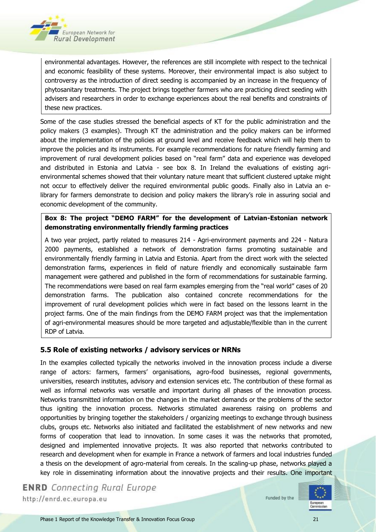

environmental advantages. However, the references are still incomplete with respect to the technical and economic feasibility of these systems. Moreover, their environmental impact is also subject to controversy as the introduction of direct seeding is accompanied by an increase in the frequency of phytosanitary treatments. The project brings together farmers who are practicing direct seeding with advisers and researchers in order to exchange experiences about the real benefits and constraints of these new practices.

Some of the case studies stressed the beneficial aspects of KT for the public administration and the policy makers (3 examples). Through KT the administration and the policy makers can be informed about the implementation of the policies at ground level and receive feedback which will help them to improve the policies and its instruments. For example recommendations for nature friendly farming and improvement of rural development policies based on "real farm" data and experience was developed and distributed in Estonia and Latvia - see box 8. In Ireland the evaluations of existing agrienvironmental schemes showed that their voluntary nature meant that sufficient clustered uptake might not occur to effectively deliver the required environmental public goods. Finally also in Latvia an elibrary for farmers demonstrate to decision and policy makers the library's role in assuring social and economic development of the community.

#### <span id="page-20-1"></span>**Box 8: The project "DEMO FARM" for the development of Latvian-Estonian network demonstrating environmentally friendly farming practices**

A two year project, partly related to measures 214 - Agri-environment payments and 224 - Natura 2000 payments, established a network of demonstration farms promoting sustainable and environmentally friendly farming in Latvia and Estonia. Apart from the direct work with the selected demonstration farms, experiences in field of nature friendly and economically sustainable farm management were gathered and published in the form of recommendations for sustainable farming. The recommendations were based on real farm examples emerging from the "real world" cases of 20 demonstration farms. The publication also contained concrete recommendations for the improvement of rural development policies which were in fact based on the lessons learnt in the project farms. One of the main findings from the DEMO FARM project was that the implementation of agri-environmental measures should be more targeted and adjustable/flexible than in the current RDP of Latvia.

#### <span id="page-20-0"></span>**5.5 Role of existing networks / advisory services or NRNs**

In the examples collected typically the networks involved in the innovation process include a diverse range of actors: farmers, farmers' organisations, agro-food businesses, regional governments, universities, research institutes, advisory and extension services etc. The contribution of these formal as well as informal networks was versatile and important during all phases of the innovation process. Networks transmitted information on the changes in the market demands or the problems of the sector thus igniting the innovation process. Networks stimulated awareness raising on problems and opportunities by bringing together the stakeholders / organizing meetings to exchange through business clubs, groups etc. Networks also initiated and facilitated the establishment of new networks and new forms of cooperation that lead to innovation. In some cases it was the networks that promoted, designed and implemented innovative projects. It was also reported that networks contributed to research and development when for example in France a network of farmers and local industries funded a thesis on the development of agro-material from cereals. In the scaling-up phase, networks played a key role in disseminating information about the innovative projects and their results. One important

**ENRD** Connecting Rural Europe http://enrd.ec.europa.eu

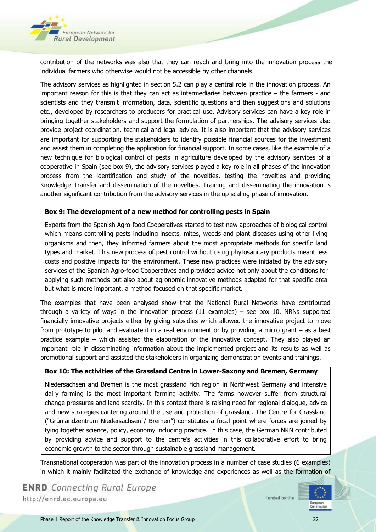

contribution of the networks was also that they can reach and bring into the innovation process the individual farmers who otherwise would not be accessible by other channels.

The advisory services as highlighted in section 5.2 can play a central role in the innovation process. An important reason for this is that they can act as intermediaries between practice – the farmers - and scientists and they transmit information, data, scientific questions and then suggestions and solutions etc., developed by researchers to producers for practical use. Advisory services can have a key role in bringing together stakeholders and support the formulation of partnerships. The advisory services also provide project coordination, technical and legal advice. It is also important that the advisory services are important for supporting the stakeholders to identify possible financial sources for the investment and assist them in completing the application for financial support. In some cases, like the example of a new technique for biological control of pests in agriculture developed by the advisory services of a cooperative in Spain (see box 9), the advisory services played a key role in all phases of the innovation process from the identification and study of the novelties, testing the novelties and providing Knowledge Transfer and dissemination of the novelties. Training and disseminating the innovation is another significant contribution from the advisory services in the up scaling phase of innovation.

#### <span id="page-21-0"></span>**Box 9: The development of a new method for controlling pests in Spain**

Experts from the Spanish Agro-food Cooperatives started to test new approaches of biological control which means controlling pests including insects, mites, weeds and plant diseases using other living organisms and then, they informed farmers about the most appropriate methods for specific land types and market. This new process of pest control without using phytosanitary products meant less costs and positive impacts for the environment. These new practices were initiated by the advisory services of the Spanish Agro-food Cooperatives and provided advice not only about the conditions for applying such methods but also about agronomic innovative methods adapted for that specific area but what is more important, a method focused on that specific market.

The examples that have been analysed show that the National Rural Networks have contributed through a variety of ways in the innovation process  $(11 \text{ examples})$  – see box 10. NRNs supported financially innovative projects either by giving subsidies which allowed the innovative project to move from prototype to pilot and evaluate it in a real environment or by providing a micro grant – as a best practice example – which assisted the elaboration of the innovative concept. They also played an important role in disseminating information about the implemented project and its results as well as promotional support and assisted the stakeholders in organizing demonstration events and trainings.

#### <span id="page-21-1"></span>**Box 10: The activities of the Grassland Centre in Lower-Saxony and Bremen, Germany**

Niedersachsen and Bremen is the most grassland rich region in Northwest Germany and intensive dairy farming is the most important farming activity. The farms however suffer from structural change pressures and land scarcity. In this context there is raising need for regional dialogue, advice and new strategies cantering around the use and protection of grassland. The Centre for Grassland ("Grünlandzentrum Niedersachsen / Bremen") constitutes a focal point where forces are joined by tying together science, policy, economy including practice. In this case, the German NRN contributed by providing advice and support to the centre's activities in this collaborative effort to bring economic growth to the sector through sustainable grassland management.

Transnational cooperation was part of the innovation process in a number of case studies (6 examples) in which it mainly facilitated the exchange of knowledge and experiences as well as the formation of

**ENRD** Connecting Rural Europe http://enrd.ec.europa.eu

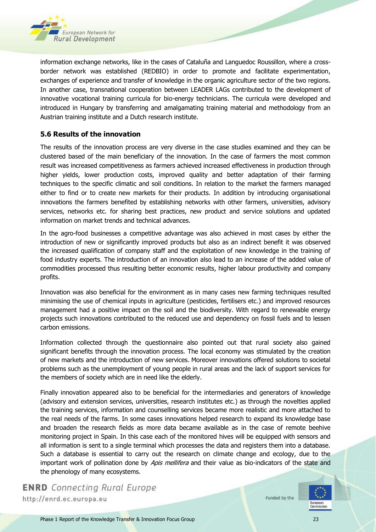

information exchange networks, like in the cases of Cataluña and Languedoc Roussillon, where a crossborder network was established (REDBIO) in order to promote and facilitate experimentation, exchanges of experience and transfer of knowledge in the organic agriculture sector of the two regions. In another case, transnational cooperation between LEADER LAGs contributed to the development of innovative vocational training curricula for bio-energy technicians. The curricula were developed and introduced in Hungary by transferring and amalgamating training material and methodology from an Austrian training institute and a Dutch research institute.

#### <span id="page-22-0"></span>**5.6 Results of the innovation**

The results of the innovation process are very diverse in the case studies examined and they can be clustered based of the main beneficiary of the innovation. In the case of farmers the most common result was increased competitiveness as farmers achieved increased effectiveness in production through higher yields, lower production costs, improved quality and better adaptation of their farming techniques to the specific climatic and soil conditions. In relation to the market the farmers managed either to find or to create new markets for their products. In addition by introducing organisational innovations the farmers benefited by establishing networks with other farmers, universities, advisory services, networks etc. for sharing best practices, new product and service solutions and updated information on market trends and technical advances.

In the agro-food businesses a competitive advantage was also achieved in most cases by either the introduction of new or significantly improved products but also as an indirect benefit it was observed the increased qualification of company staff and the exploitation of new knowledge in the training of food industry experts. The introduction of an innovation also lead to an increase of the added value of commodities processed thus resulting better economic results, higher labour productivity and company profits.

Innovation was also beneficial for the environment as in many cases new farming techniques resulted minimising the use of chemical inputs in agriculture (pesticides, fertilisers etc.) and improved resources management had a positive impact on the soil and the biodiversity. With regard to renewable energy projects such innovations contributed to the reduced use and dependency on fossil fuels and to lessen carbon emissions.

Information collected through the questionnaire also pointed out that rural society also gained significant benefits through the innovation process. The local economy was stimulated by the creation of new markets and the introduction of new services. Moreover innovations offered solutions to societal problems such as the unemployment of young people in rural areas and the lack of support services for the members of society which are in need like the elderly.

Finally innovation appeared also to be beneficial for the intermediaries and generators of knowledge (advisory and extension services, universities, research institutes etc.) as through the novelties applied the training services, information and counselling services became more realistic and more attached to the real needs of the farms. In some cases innovations helped research to expand its knowledge base and broaden the research fields as more data became available as in the case of remote beehive monitoring project in Spain. In this case each of the monitored hives will be equipped with sensors and all information is sent to a single terminal which processes the data and registers them into a database. Such a database is essential to carry out the research on climate change and ecology, due to the important work of pollination done by Apis mellifera and their value as bio-indicators of the state and the phenology of many ecosystems.

**ENRD** Connecting Rural Europe http://enrd.ec.europa.eu

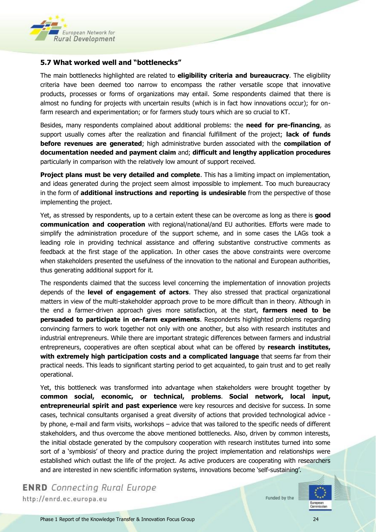

#### <span id="page-23-0"></span>**5.7 What worked well and "bottlenecks"**

The main bottlenecks highlighted are related to **eligibility criteria and bureaucracy**. The eligibility criteria have been deemed too narrow to encompass the rather versatile scope that innovative products, processes or forms of organizations may entail. Some respondents claimed that there is almost no funding for projects with uncertain results (which is in fact how innovations occur); for onfarm research and experimentation; or for farmers study tours which are so crucial to KT.

Besides, many respondents complained about additional problems: the **need for pre-financing**, as support usually comes after the realization and financial fulfillment of the project; **lack of funds before revenues are generated**; high administrative burden associated with the **compilation of documentation needed and payment claim** and; **difficult and lengthy application procedures** particularly in comparison with the relatively low amount of support received.

**Project plans must be very detailed and complete**. This has a limiting impact on implementation, and ideas generated during the project seem almost impossible to implement. Too much bureaucracy in the form of **additional instructions and reporting is undesirable** from the perspective of those implementing the project.

Yet, as stressed by respondents, up to a certain extent these can be overcome as long as there is **good communication and cooperation** with regional/national/and EU authorities. Efforts were made to simplify the administration procedure of the support scheme, and in some cases the LAGs took a leading role in providing technical assistance and offering substantive constructive comments as feedback at the first stage of the application. In other cases the above constraints were overcome when stakeholders presented the usefulness of the innovation to the national and European authorities, thus generating additional support for it.

The respondents claimed that the success level concerning the implementation of innovation projects depends of the **level of engagement of actors**. They also stressed that practical organizational matters in view of the multi-stakeholder approach prove to be more difficult than in theory. Although in the end a farmer-driven approach gives more satisfaction, at the start, **farmers need to be persuaded to participate in on-farm experiments**. Respondents highlighted problems regarding convincing farmers to work together not only with one another, but also with research institutes and industrial entrepreneurs. While there are important strategic differences between farmers and industrial entrepreneurs, cooperatives are often sceptical about what can be offered by **research institutes, with extremely high participation costs and a complicated language** that seems far from their practical needs. This leads to significant starting period to get acquainted, to gain trust and to get really operational.

Yet, this bottleneck was transformed into advantage when stakeholders were brought together by **common social, economic, or technical, problems**. **Social network, local input, entrepreneurial spirit and past experience** were key resources and decisive for success. In some cases, technical consultants organised a great diversity of actions that provided technological advice by phone, e-mail and farm visits, workshops – advice that was tailored to the specific needs of different stakeholders, and thus overcome the above mentioned bottlenecks. Also, driven by common interests, the initial obstacle generated by the compulsory cooperation with research institutes turned into some sort of a 'symbiosis' of theory and practice during the project implementation and relationships were established which outlast the life of the project. As active producers are cooperating with researchers and are interested in new scientific information systems, innovations become 'self-sustaining'.

**ENRD** Connecting Rural Europe http://enrd.ec.europa.eu

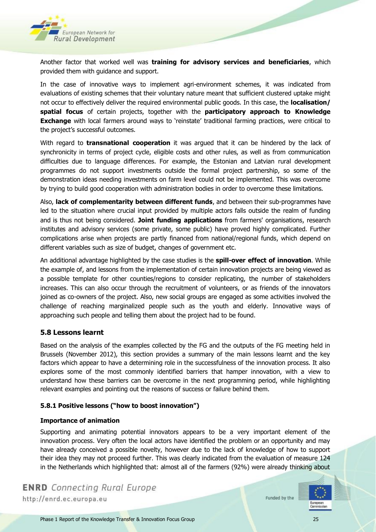

Another factor that worked well was **training for advisory services and beneficiaries**, which provided them with guidance and support.

In the case of innovative ways to implement agri-environment schemes, it was indicated from evaluations of existing schemes that their voluntary nature meant that sufficient clustered uptake might not occur to effectively deliver the required environmental public goods. In this case, the **localisation/ spatial focus** of certain projects, together with the **participatory approach to Knowledge Exchange** with local farmers around ways to 'reinstate' traditional farming practices, were critical to the project's successful outcomes.

With regard to **transnational cooperation** it was argued that it can be hindered by the lack of synchronicity in terms of project cycle, eligible costs and other rules, as well as from communication difficulties due to language differences. For example, the Estonian and Latvian rural development programmes do not support investments outside the formal project partnership, so some of the demonstration ideas needing investments on farm level could not be implemented. This was overcome by trying to build good cooperation with administration bodies in order to overcome these limitations.

Also, **lack of complementarity between different funds**, and between their sub-programmes have led to the situation where crucial input provided by multiple actors falls outside the realm of funding and is thus not being considered. **Joint funding applications** from farmers' organisations, research institutes and advisory services (some private, some public) have proved highly complicated. Further complications arise when projects are partly financed from national/regional funds, which depend on different variables such as size of budget, changes of government etc.

An additional advantage highlighted by the case studies is the **spill-over effect of innovation**. While the example of, and lessons from the implementation of certain innovation projects are being viewed as a possible template for other counties/regions to consider replicating, the number of stakeholders increases. This can also occur through the recruitment of volunteers, or as friends of the innovators joined as co-owners of the project. Also, new social groups are engaged as some activities involved the challenge of reaching marginalized people such as the youth and elderly. Innovative ways of approaching such people and telling them about the project had to be found.

#### <span id="page-24-0"></span>**5.8 Lessons learnt**

Based on the analysis of the examples collected by the FG and the outputs of the FG meeting held in Brussels (November 2012), this section provides a summary of the main lessons learnt and the key factors which appear to have a determining role in the successfulness of the innovation process. It also explores some of the most commonly identified barriers that hamper innovation, with a view to understand how these barriers can be overcome in the next programming period, while highlighting relevant examples and pointing out the reasons of success or failure behind them.

#### **5.8.1 Positive lessons ("how to boost innovation")**

#### **Importance of animation**

Supporting and animating potential innovators appears to be a very important element of the innovation process. Very often the local actors have identified the problem or an opportunity and may have already conceived a possible novelty, however due to the lack of knowledge of how to support their idea they may not proceed further. This was clearly indicated from the evaluation of measure 124 in the Netherlands which highlighted that: almost all of the farmers (92%) were already thinking about

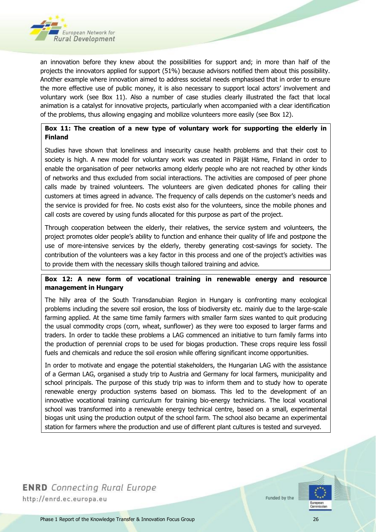

an innovation before they knew about the possibilities for support and; in more than half of the projects the innovators applied for support (51%) because advisors notified them about this possibility. Another example where innovation aimed to address societal needs emphasised that in order to ensure the more effective use of public money, it is also necessary to support local actors' involvement and voluntary work (see Box 11). Also a number of case studies clearly illustrated the fact that local animation is a catalyst for innovative projects, particularly when accompanied with a clear identification of the problems, thus allowing engaging and mobilize volunteers more easily (see Box 12).

#### <span id="page-25-0"></span>**Box 11: The creation of a new type of voluntary work for supporting the elderly in Finland**

Studies have shown that loneliness and insecurity cause health problems and that their cost to society is high. A new model for voluntary work was created in Päijät Häme, Finland in order to enable the organisation of peer networks among elderly people who are not reached by other kinds of networks and thus excluded from social interactions. The activities are composed of peer phone calls made by trained volunteers. The volunteers are given dedicated phones for calling their customers at times agreed in advance. The frequency of calls depends on the customer's needs and the service is provided for free. No costs exist also for the volunteers, since the mobile phones and call costs are covered by using funds allocated for this purpose as part of the project.

Through cooperation between the elderly, their relatives, the service system and volunteers, the project promotes older people's ability to function and enhance their quality of life and postpone the use of more-intensive services by the elderly, thereby generating cost-savings for society. The contribution of the volunteers was a key factor in this process and one of the project's activities was to provide them with the necessary skills though tailored training and advice.

#### <span id="page-25-1"></span>**Box 12: A new form of vocational training in renewable energy and resource management in Hungary**

The hilly area of the South Transdanubian Region in Hungary is confronting many ecological problems including the severe soil erosion, the loss of biodiversity etc. mainly due to the large-scale farming applied. At the same time family farmers with smaller farm sizes wanted to quit producing the usual commodity crops (corn, wheat, sunflower) as they were too exposed to larger farms and traders. In order to tackle these problems a LAG commenced an initiative to turn family farms into the production of perennial crops to be used for biogas production. These crops require less fossil fuels and chemicals and reduce the soil erosion while offering significant income opportunities.

In order to motivate and engage the potential stakeholders, the Hungarian LAG with the assistance of a German LAG, organised a study trip to Austria and Germany for local farmers, municipality and school principals. The purpose of this study trip was to inform them and to study how to operate renewable energy production systems based on biomass. This led to the development of an innovative vocational training curriculum for training bio-energy technicians. The local vocational school was transformed into a renewable energy technical centre, based on a small, experimental biogas unit using the production output of the school farm. The school also became an experimental station for farmers where the production and use of different plant cultures is tested and surveyed.

**ENRD** Connecting Rural Europe http://enrd.ec.europa.eu

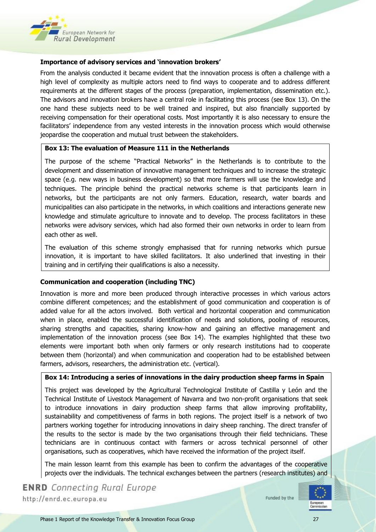

#### **Importance of advisory services and 'innovation brokers'**

From the analysis conducted it became evident that the innovation process is often a challenge with a high level of complexity as multiple actors need to find ways to cooperate and to address different requirements at the different stages of the process (preparation, implementation, dissemination etc.). The advisors and innovation brokers have a central role in facilitating this process (see Box 13). On the one hand these subjects need to be well trained and inspired, but also financially supported by receiving compensation for their operational costs. Most importantly it is also necessary to ensure the facilitators' independence from any vested interests in the innovation process which would otherwise jeopardise the cooperation and mutual trust between the stakeholders.

#### <span id="page-26-0"></span>**Box 13: The evaluation of Measure 111 in the Netherlands**

The purpose of the scheme "Practical Networks" in the Netherlands is to contribute to the development and dissemination of innovative management techniques and to increase the strategic space (e.g. new ways in business development) so that more farmers will use the knowledge and techniques. The principle behind the practical networks scheme is that participants learn in networks, but the participants are not only farmers. Education, research, water boards and municipalities can also participate in the networks, in which coalitions and interactions generate new knowledge and stimulate agriculture to innovate and to develop. The process facilitators in these networks were advisory services, which had also formed their own networks in order to learn from each other as well.

The evaluation of this scheme strongly emphasised that for running networks which pursue innovation, it is important to have skilled facilitators. It also underlined that investing in their training and in certifying their qualifications is also a necessity.

#### **Communication and cooperation (including TNC)**

Innovation is more and more been produced through interactive processes in which various actors combine different competences; and the establishment of good communication and cooperation is of added value for all the actors involved. Both vertical and horizontal cooperation and communication when in place, enabled the successful identification of needs and solutions, pooling of resources, sharing strengths and capacities, sharing know-how and gaining an effective management and implementation of the innovation process (see Box 14). The examples highlighted that these two elements were important both when only farmers or only research institutions had to cooperate between them (horizontal) and when communication and cooperation had to be established between farmers, advisors, researchers, the administration etc. (vertical).

#### <span id="page-26-1"></span>**Box 14: Introducing a series of innovations in the dairy production sheep farms in Spain**

This project was developed by the Agricultural Technological Institute of Castilla y León and the Technical Institute of Livestock Management of Navarra and two non-profit organisations that seek to introduce innovations in dairy production sheep farms that allow improving profitability, sustainability and competitiveness of farms in both regions. The project itself is a network of two partners working together for introducing innovations in dairy sheep ranching. The direct transfer of the results to the sector is made by the two organisations through their field technicians. These technicians are in continuous contact with farmers or across technical personnel of other organisations, such as cooperatives, which have received the information of the project itself.

The main lesson learnt from this example has been to confirm the advantages of the cooperative projects over the individuals. The technical exchanges between the partners (research institutes) and

**ENRD** Connecting Rural Europe http://enrd.ec.europa.eu

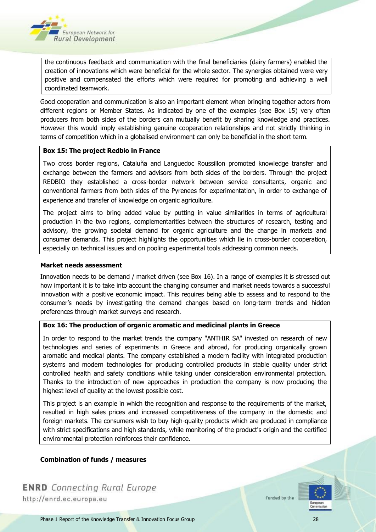

the continuous feedback and communication with the final beneficiaries (dairy farmers) enabled the creation of innovations which were beneficial for the whole sector. The synergies obtained were very positive and compensated the efforts which were required for promoting and achieving a well coordinated teamwork.

Good cooperation and communication is also an important element when bringing together actors from different regions or Member States. As indicated by one of the examples (see Box 15) very often producers from both sides of the borders can mutually benefit by sharing knowledge and practices. However this would imply establishing genuine cooperation relationships and not strictly thinking in terms of competition which in a globalised environment can only be beneficial in the short term.

#### <span id="page-27-0"></span>**Box 15: The project Redbio in France**

Two cross border regions, Cataluña and Languedoc Roussillon promoted knowledge transfer and exchange between the farmers and advisors from both sides of the borders. Through the project REDBIO they established a cross-border network between service consultants, organic and conventional farmers from both sides of the Pyrenees for experimentation, in order to exchange of experience and transfer of knowledge on organic agriculture.

The project aims to bring added value by putting in value similarities in terms of agricultural production in the two regions, complementarities between the structures of research, testing and advisory, the growing societal demand for organic agriculture and the change in markets and consumer demands. This project highlights the opportunities which lie in cross-border cooperation, especially on technical issues and on pooling experimental tools addressing common needs.

#### **Market needs assessment**

Innovation needs to be demand / market driven (see Box 16). In a range of examples it is stressed out how important it is to take into account the changing consumer and market needs towards a successful innovation with a positive economic impact. This requires being able to assess and to respond to the consumer's needs by investigating the demand changes based on long-term trends and hidden preferences through market surveys and research.

#### **Box 16: The production of organic aromatic and medicinal plants in Greece**

In order to respond to the market trends the company "ANTHIR SA" invested on research of new technologies and series of experiments in Greece and abroad, for producing organically grown aromatic and medical plants. The company established a modern facility with integrated production systems and modern technologies for producing controlled products in stable quality under strict controlled health and safety conditions while taking under consideration environmental protection. Thanks to the introduction of new approaches in production the company is now producing the highest level of quality at the lowest possible cost.

This project is an example in which the recognition and response to the requirements of the market, resulted in high sales prices and increased competitiveness of the company in the domestic and foreign markets. The consumers wish to buy high-quality products which are produced in compliance with strict specifications and high standards, while monitoring of the product's origin and the certified environmental protection reinforces their confidence.

#### **Combination of funds / measures**

**ENRD** Connecting Rural Europe http://enrd.ec.europa.eu

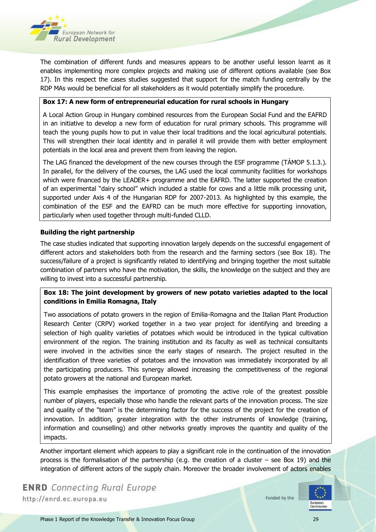

The combination of different funds and measures appears to be another useful lesson learnt as it enables implementing more complex projects and making use of different options available (see Box 17). In this respect the cases studies suggested that support for the match funding centrally by the RDP MAs would be beneficial for all stakeholders as it would potentially simplify the procedure.

#### <span id="page-28-0"></span>**Box 17: A new form of entrepreneurial education for rural schools in Hungary**

A Local Action Group in Hungary combined resources from the European Social Fund and the EAFRD in an initiative to develop a new form of education for rural primary schools. This programme will teach the young pupils how to put in value their local traditions and the local agricultural potentials. This will strengthen their local identity and in parallel it will provide them with better employment potentials in the local area and prevent them from leaving the region.

The LAG financed the development of the new courses through the ESF programme (TÁMOP 5.1.3.). In parallel, for the delivery of the courses, the LAG used the local community facilities for workshops which were financed by the LEADER+ programme and the EAFRD. The latter supported the creation of an experimental "dairy school" which included a stable for cows and a little milk processing unit, supported under Axis 4 of the Hungarian RDP for 2007-2013. As highlighted by this example, the combination of the ESF and the EAFRD can be much more effective for supporting innovation, particularly when used together through multi-funded CLLD.

#### **Building the right partnership**

The case studies indicated that supporting innovation largely depends on the successful engagement of different actors and stakeholders both from the research and the farming sectors (see Box 18). The success/failure of a project is significantly related to identifying and bringing together the most suitable combination of partners who have the motivation, the skills, the knowledge on the subject and they are willing to invest into a successful partnership.

#### <span id="page-28-1"></span>**Box 18: The joint development by growers of new potato varieties adapted to the local conditions in Emilia Romagna, Italy**

Two associations of potato growers in the region of Emilia-Romagna and the Italian Plant Production Research Center (CRPV) worked together in a two year project for identifying and breeding a selection of high quality varieties of potatoes which would be introduced in the typical cultivation environment of the region. The training institution and its faculty as well as technical consultants were involved in the activities since the early stages of research. The project resulted in the identification of three varieties of potatoes and the innovation was immediately incorporated by all the participating producers. This synergy allowed increasing the competitiveness of the regional potato growers at the national and European market.

This example emphasises the importance of promoting the active role of the greatest possible number of players, especially those who handle the relevant parts of the innovation process. The size and quality of the "team" is the determining factor for the success of the project for the creation of innovation. In addition, greater integration with the other instruments of knowledge (training, information and counselling) and other networks greatly improves the quantity and quality of the impacts.

Another important element which appears to play a significant role in the continuation of the innovation process is the formalisation of the partnership (e.g. the creation of a cluster – see Box 19) and the integration of different actors of the supply chain. Moreover the broader involvement of actors enables

**ENRD** Connecting Rural Europe http://enrd.ec.europa.eu

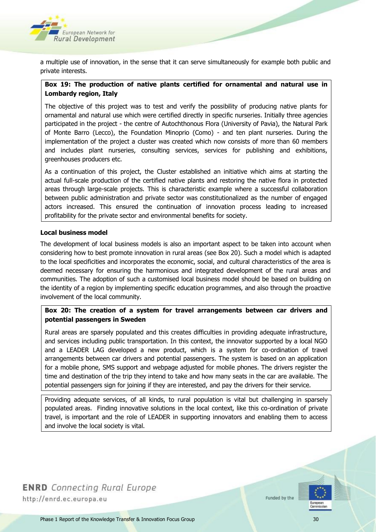

a multiple use of innovation, in the sense that it can serve simultaneously for example both public and private interests.

#### <span id="page-29-0"></span>**Box 19: The production of native plants certified for ornamental and natural use in Lombardy region, Italy**

The objective of this project was to test and verify the possibility of producing native plants for ornamental and natural use which were certified directly in specific nurseries. Initially three agencies participated in the project - the centre of Autochthonous Flora (University of Pavia), the Natural Park of Monte Barro (Lecco), the Foundation Minoprio (Como) - and ten plant nurseries. During the implementation of the project a cluster was created which now consists of more than 60 members and includes plant nurseries, consulting services, services for publishing and exhibitions, greenhouses producers etc.

As a continuation of this project, the Cluster established an initiative which aims at starting the actual full-scale production of the certified native plants and restoring the native flora in protected areas through large-scale projects. This is characteristic example where a successful collaboration between public administration and private sector was constitutionalized as the number of engaged actors increased. This ensured the continuation of innovation process leading to increased profitability for the private sector and environmental benefits for society.

#### **Local business model**

The development of local business models is also an important aspect to be taken into account when considering how to best promote innovation in rural areas (see Box 20). Such a model which is adapted to the local specificities and incorporates the economic, social, and cultural characteristics of the area is deemed necessary for ensuring the harmonious and integrated development of the rural areas and communities. The adoption of such a customised local business model should be based on building on the identity of a region by implementing specific education programmes, and also through the proactive involvement of the local community.

#### <span id="page-29-1"></span>**Box 20: The creation of a system for travel arrangements between car drivers and potential passengers in Sweden**

Rural areas are sparsely populated and this creates difficulties in providing adequate infrastructure, and services including public transportation. In this context, the innovator supported by a local NGO and a LEADER LAG developed a new product, which is a system for co-ordination of travel arrangements between car drivers and potential passengers. The system is based on an application for a mobile phone, SMS support and webpage adjusted for mobile phones. The drivers register the time and destination of the trip they intend to take and how many seats in the car are available. The potential passengers sign for joining if they are interested, and pay the drivers for their service.

Providing adequate services, of all kinds, to rural population is vital but challenging in sparsely populated areas. Finding innovative solutions in the local context, like this co-ordination of private travel, is important and the role of LEADER in supporting innovators and enabling them to access and involve the local society is vital.

**ENRD** Connecting Rural Europe http://enrd.ec.europa.eu

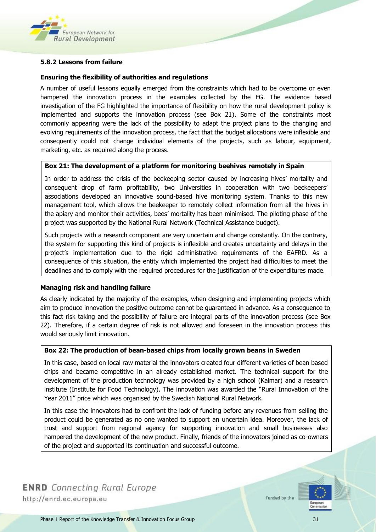

#### <span id="page-30-0"></span>**5.8.2 Lessons from failure**

#### **Ensuring the flexibility of authorities and regulations**

A number of useful lessons equally emerged from the constraints which had to be overcome or even hampered the innovation process in the examples collected by the FG. The evidence based investigation of the FG highlighted the importance of flexibility on how the rural development policy is implemented and supports the innovation process (see Box 21). Some of the constraints most commonly appearing were the lack of the possibility to adapt the project plans to the changing and evolving requirements of the innovation process, the fact that the budget allocations were inflexible and consequently could not change individual elements of the projects, such as labour, equipment, marketing, etc. as required along the process.

#### <span id="page-30-1"></span>**Box 21: The development of a platform for monitoring beehives remotely in Spain**

In order to address the crisis of the beekeeping sector caused by increasing hives' mortality and consequent drop of farm profitability, two Universities in cooperation with two beekeepers' associations developed an innovative sound-based hive monitoring system. Thanks to this new management tool, which allows the beekeeper to remotely collect information from all the hives in the apiary and monitor their activities, bees' mortality has been minimised. The piloting phase of the project was supported by the National Rural Network (Technical Assistance budget).

Such projects with a research component are very uncertain and change constantly. On the contrary, the system for supporting this kind of projects is inflexible and creates uncertainty and delays in the project's implementation due to the rigid administrative requirements of the EAFRD. As a consequence of this situation, the entity which implemented the project had difficulties to meet the deadlines and to comply with the required procedures for the justification of the expenditures made.

#### **Managing risk and handling failure**

As clearly indicated by the majority of the examples, when designing and implementing projects which aim to produce innovation the positive outcome cannot be guaranteed in advance. As a consequence to this fact risk taking and the possibility of failure are integral parts of the innovation process (see Box 22). Therefore, if a certain degree of risk is not allowed and foreseen in the innovation process this would seriously limit innovation.

#### <span id="page-30-2"></span>**Box 22: The production of bean-based chips from locally grown beans in Sweden**

In this case, based on local raw material the innovators created four different varieties of bean based chips and became competitive in an already established market. The technical support for the development of the production technology was provided by a high school (Kalmar) and a research institute (Institute for Food Technology). The innovation was awarded the "Rural Innovation of the Year 2011" price which was organised by the Swedish National Rural Network.

In this case the innovators had to confront the lack of funding before any revenues from selling the product could be generated as no one wanted to support an uncertain idea. Moreover, the lack of trust and support from regional agency for supporting innovation and small businesses also hampered the development of the new product. Finally, friends of the innovators joined as co-owners of the project and supported its continuation and successful outcome.

**ENRD** Connecting Rural Europe http://enrd.ec.europa.eu

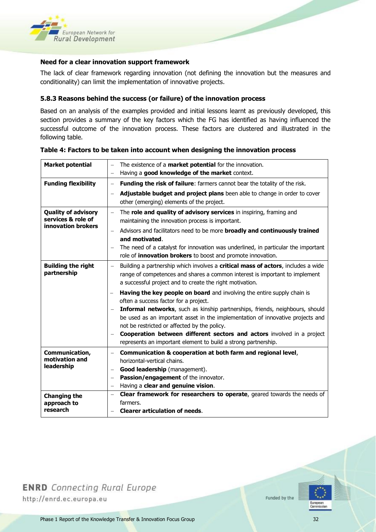

#### **Need for a clear innovation support framework**

The lack of clear framework regarding innovation (not defining the innovation but the measures and conditionality) can limit the implementation of innovative projects.

#### <span id="page-31-0"></span>**5.8.3 Reasons behind the success (or failure) of the innovation process**

Based on an analysis of the examples provided and initial lessons learnt as previously developed, this section provides a summary of the key factors which the FG has identified as having influenced the successful outcome of the innovation process. These factors are clustered and illustrated in the following table.

| <b>Market potential</b>                                                | The existence of a <b>market potential</b> for the innovation.<br>$\overline{\phantom{0}}$<br>Having a good knowledge of the market context.<br>$\qquad \qquad -$                                                                                       |
|------------------------------------------------------------------------|---------------------------------------------------------------------------------------------------------------------------------------------------------------------------------------------------------------------------------------------------------|
| <b>Funding flexibility</b>                                             | Funding the risk of failure: farmers cannot bear the totality of the risk.<br>$\overline{\phantom{m}}$<br>Adjustable budget and project plans been able to change in order to cover                                                                     |
|                                                                        | other (emerging) elements of the project.                                                                                                                                                                                                               |
| <b>Quality of advisory</b><br>services & role of<br>innovation brokers | The <b>role and quality of advisory services</b> in inspiring, framing and<br>$\equiv$<br>maintaining the innovation process is important.                                                                                                              |
|                                                                        | Advisors and facilitators need to be more broadly and continuously trained<br>and motivated.                                                                                                                                                            |
|                                                                        | The need of a catalyst for innovation was underlined, in particular the important<br>role of <i>innovation brokers</i> to boost and promote innovation.                                                                                                 |
| <b>Building the right</b><br>partnership                               | Building a partnership which involves a critical mass of actors, includes a wide<br>$\overline{\phantom{m}}$<br>range of competences and shares a common interest is important to implement<br>a successful project and to create the right motivation. |
|                                                                        | Having the key people on board and involving the entire supply chain is<br>often a success factor for a project.                                                                                                                                        |
|                                                                        | Informal networks, such as kinship partnerships, friends, neighbours, should<br>be used as an important asset in the implementation of innovative projects and<br>not be restricted or affected by the policy.                                          |
|                                                                        | Cooperation between different sectors and actors involved in a project<br>represents an important element to build a strong partnership.                                                                                                                |
| Communication,<br>motivation and                                       | Communication & cooperation at both farm and regional level,<br>$\overline{\phantom{0}}$                                                                                                                                                                |
| leadership                                                             | horizontal-vertical chains.<br>Good leadership (management).                                                                                                                                                                                            |
|                                                                        | Passion/engagement of the innovator.                                                                                                                                                                                                                    |
|                                                                        | Having a clear and genuine vision.                                                                                                                                                                                                                      |
| <b>Changing the</b>                                                    | Clear framework for researchers to operate, geared towards the needs of<br>$\qquad \qquad -$                                                                                                                                                            |
| approach to<br>research                                                | farmers.<br><b>Clearer articulation of needs.</b>                                                                                                                                                                                                       |
|                                                                        |                                                                                                                                                                                                                                                         |

#### <span id="page-31-1"></span>**Table 4: Factors to be taken into account when designing the innovation process**

**ENRD** Connecting Rural Europe http://enrd.ec.europa.eu

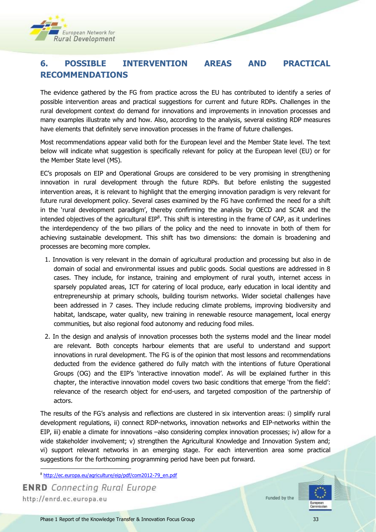

# <span id="page-32-0"></span>**6. POSSIBLE INTERVENTION AREAS AND PRACTICAL RECOMMENDATIONS**

The evidence gathered by the FG from practice across the EU has contributed to identify a series of possible intervention areas and practical suggestions for current and future RDPs. Challenges in the rural development context do demand for innovations and improvements in innovation processes and many examples illustrate why and how. Also, according to the analysis, several existing RDP measures have elements that definitely serve innovation processes in the frame of future challenges.

Most recommendations appear valid both for the European level and the Member State level. The text below will indicate what suggestion is specifically relevant for policy at the European level (EU) or for the Member State level (MS).

EC's proposals on EIP and Operational Groups are considered to be very promising in strengthening innovation in rural development through the future RDPs. But before enlisting the suggested intervention areas, it is relevant to highlight that the emerging innovation paradigm is very relevant for future rural development policy. Several cases examined by the FG have confirmed the need for a shift in the 'rural development paradigm', thereby confirming the analysis by OECD and SCAR and the intended objectives of the agricultural  $EIP^8$ . This shift is interesting in the frame of CAP, as it underlines the interdependency of the two pillars of the policy and the need to innovate in both of them for achieving sustainable development. This shift has two dimensions: the domain is broadening and processes are becoming more complex.

- 1. Innovation is very relevant in the domain of agricultural production and processing but also in de domain of social and environmental issues and public goods. Social questions are addressed in 8 cases. They include, for instance, training and employment of rural youth, internet access in sparsely populated areas, ICT for catering of local produce, early education in local identity and entrepreneurship at primary schools, building tourism networks. Wider societal challenges have been addressed in 7 cases. They include reducing climate problems, improving biodiversity and habitat, landscape, water quality, new training in renewable resource management, local energy communities, but also regional food autonomy and reducing food miles.
- 2. In the design and analysis of innovation processes both the systems model and the linear model are relevant. Both concepts harbour elements that are useful to understand and support innovations in rural development. The FG is of the opinion that most lessons and recommendations deducted from the evidence gathered do fully match with the intentions of future Operational Groups (OG) and the EIP's 'interactive innovation model'. As will be explained further in this chapter, the interactive innovation model covers two basic conditions that emerge 'from the field': relevance of the research object for end-users, and targeted composition of the partnership of actors.

The results of the FG's analysis and reflections are clustered in six intervention areas: i) simplify rural development regulations, ii) connect RDP-networks, innovation networks and EIP-networks within the EIP, iii) enable a climate for innovations –also considering complex innovation processes; iv) allow for a wide stakeholder involvement; v) strengthen the Agricultural Knowledge and Innovation System and; vi) support relevant networks in an emerging stage. For each intervention area some practical suggestions for the forthcoming programming period have been put forward.

<sup>8</sup> [http://ec.europa.eu/agriculture/eip/pdf/com2012-79\\_en.pdf](http://ec.europa.eu/agriculture/eip/pdf/com2012-79_en.pdf)

**ENRD** Connecting Rural Europe http://enrd.ec.europa.eu

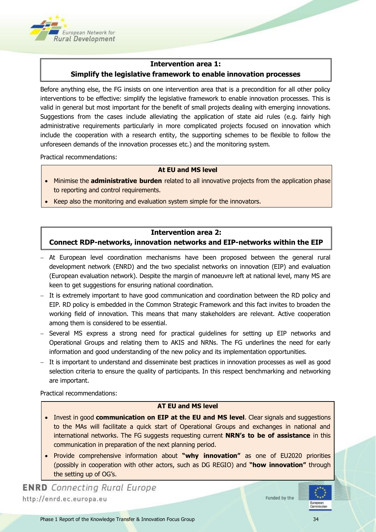

#### **Intervention area 1:**

#### **Simplify the legislative framework to enable innovation processes**

Before anything else, the FG insists on one intervention area that is a precondition for all other policy interventions to be effective: simplify the legislative framework to enable innovation processes. This is valid in general but most important for the benefit of small projects dealing with emerging innovations. Suggestions from the cases include alleviating the application of state aid rules (e.g. fairly high administrative requirements particularly in more complicated projects focused on innovation which include the cooperation with a research entity, the supporting schemes to be flexible to follow the unforeseen demands of the innovation processes etc.) and the monitoring system.

Practical recommendations:

#### **At EU and MS level**

- Minimise the **administrative burden** related to all innovative projects from the application phase to reporting and control requirements.
- Keep also the monitoring and evaluation system simple for the innovators.

#### **Intervention area 2: Connect RDP-networks, innovation networks and EIP-networks within the EIP**

- At European level coordination mechanisms have been proposed between the general rural development network (ENRD) and the two specialist networks on innovation (EIP) and evaluation (European evaluation network). Despite the margin of manoeuvre left at national level, many MS are keen to get suggestions for ensuring national coordination.
- It is extremely important to have good communication and coordination between the RD policy and EIP. RD policy is embedded in the Common Strategic Framework and this fact invites to broaden the working field of innovation. This means that many stakeholders are relevant. Active cooperation among them is considered to be essential.
- Several MS express a strong need for practical guidelines for setting up EIP networks and Operational Groups and relating them to AKIS and NRNs. The FG underlines the need for early information and good understanding of the new policy and its implementation opportunities.
- It is important to understand and disseminate best practices in innovation processes as well as good selection criteria to ensure the quality of participants. In this respect benchmarking and networking are important.

Practical recommendations:

#### **AT EU and MS level**

- **Invest in good communication on EIP at the EU and MS level.** Clear signals and suggestions to the MAs will facilitate a quick start of Operational Groups and exchanges in national and international networks. The FG suggests requesting current **NRN's to be of assistance** in this communication in preparation of the next planning period.
- Provide comprehensive information about "why innovation" as one of EU2020 priorities (possibly in cooperation with other actors, such as DG REGIO) and **"how innovation"** through the setting up of OG's.

**ENRD** Connecting Rural Europe http://enrd.ec.europa.eu

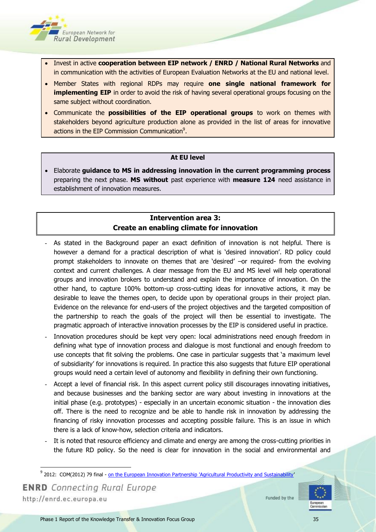

- **.** Invest in active **cooperation between EIP network / ENRD / National Rural Networks** and in communication with the activities of European Evaluation Networks at the EU and national level.
- Member States with regional RDPs may require **one single national framework for implementing EIP** in order to avoid the risk of having several operational groups focusing on the same subject without coordination.
- Communicate the **possibilities of the EIP operational groups** to work on themes with stakeholders beyond agriculture production alone as provided in the list of areas for innovative actions in the EIP Commission Communication<sup>9</sup>.

#### **At EU level**

 Elaborate **guidance to MS in addressing innovation in the current programming process**  preparing the next phase. **MS without** past experience with **measure 124** need assistance in establishment of innovation measures.

#### **Intervention area 3: Create an enabling climate for innovation**

- As stated in the Background paper an exact definition of innovation is not helpful. There is however a demand for a practical description of what is 'desired innovation'. RD policy could prompt stakeholders to innovate on themes that are 'desired' –or required- from the evolving context and current challenges. A clear message from the EU and MS level will help operational groups and innovation brokers to understand and explain the importance of innovation. On the other hand, to capture 100% bottom-up cross-cutting ideas for innovative actions, it may be desirable to leave the themes open, to decide upon by operational groups in their project plan. Evidence on the relevance for end-users of the project objectives and the targeted composition of the partnership to reach the goals of the project will then be essential to investigate. The pragmatic approach of interactive innovation processes by the EIP is considered useful in practice.
- Innovation procedures should be kept very open: local administrations need enough freedom in defining what type of innovation process and dialogue is most functional and enough freedom to use concepts that fit solving the problems. One case in particular suggests that 'a maximum level of subsidiarity' for innovations is required. In practice this also suggests that future EIP operational groups would need a certain level of autonomy and flexibility in defining their own functioning.
- Accept a level of financial risk. In this aspect current policy still discourages innovating initiatives, and because businesses and the banking sector are wary about investing in innovations at the initial phase (e.g. prototypes) - especially in an uncertain economic situation - the innovation dies off. There is the need to recognize and be able to handle risk in innovation by addressing the financing of risky innovation processes and accepting possible failure. This is an issue in which there is a lack of know-how, selection criteria and indicators.
- It is noted that resource efficiency and climate and energy are among the cross-cutting priorities in the future RD policy. So the need is clear for innovation in the social and environmental and

**ENRD** Connecting Rural Europe http://enrd.ec.europa.eu



 9 2012: COM(2012) 79 final - [on the European Innovation Partnership 'Agricultural Productivity and Sustainability](http://ec.europa.eu/agriculture/eip/pdf/com2012-79_en.pdf)'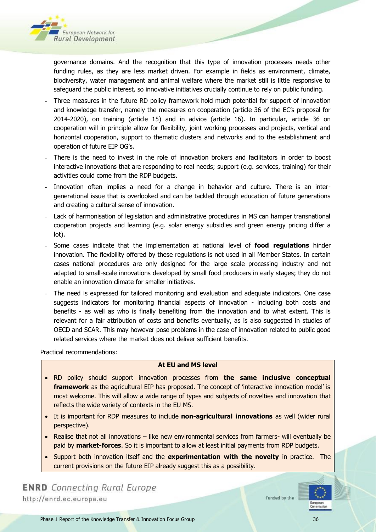

governance domains. And the recognition that this type of innovation processes needs other funding rules, as they are less market driven. For example in fields as environment, climate, biodiversity, water management and animal welfare where the market still is little responsive to safeguard the public interest, so innovative initiatives crucially continue to rely on public funding.

- Three measures in the future RD policy framework hold much potential for support of innovation and knowledge transfer, namely the measures on cooperation (article 36 of the EC's proposal for 2014-2020), on training (article 15) and in advice (article 16). In particular, article 36 on cooperation will in principle allow for flexibility, joint working processes and projects, vertical and horizontal cooperation, support to thematic clusters and networks and to the establishment and operation of future EIP OG's.
- There is the need to invest in the role of innovation brokers and facilitators in order to boost interactive innovations that are responding to real needs; support (e.g. services, training) for their activities could come from the RDP budgets.
- Innovation often implies a need for a change in behavior and culture. There is an intergenerational issue that is overlooked and can be tackled through education of future generations and creating a cultural sense of innovation.
- Lack of harmonisation of legislation and administrative procedures in MS can hamper transnational cooperation projects and learning (e.g. solar energy subsidies and green energy pricing differ a lot).
- Some cases indicate that the implementation at national level of **food regulations** hinder innovation. The flexibility offered by these regulations is not used in all Member States. In certain cases national procedures are only designed for the large scale processing industry and not adapted to small-scale innovations developed by small food producers in early stages; they do not enable an innovation climate for smaller initiatives.
- The need is expressed for tailored monitoring and evaluation and adequate indicators. One case suggests indicators for monitoring financial aspects of innovation - including both costs and benefits - as well as who is finally benefiting from the innovation and to what extent. This is relevant for a fair attribution of costs and benefits eventually, as is also suggested in studies of OECD and SCAR. This may however pose problems in the case of innovation related to public good related services where the market does not deliver sufficient benefits.

Practical recommendations:

#### **At EU and MS level**

- RD policy should support innovation processes from **the same inclusive conceptual**  framework as the agricultural EIP has proposed. The concept of 'interactive innovation model' is most welcome. This will allow a wide range of types and subjects of novelties and innovation that reflects the wide variety of contexts in the EU MS.
- It is important for RDP measures to include **non-agricultural innovations** as well (wider rural perspective).
- Realise that not all innovations like new environmental services from farmers- will eventually be paid by **market-forces**. So it is important to allow at least initial payments from RDP budgets.
- Support both innovation itself and the **experimentation with the novelty** in practice. The current provisions on the future EIP already suggest this as a possibility.

**ENRD** Connecting Rural Europe http://enrd.ec.europa.eu

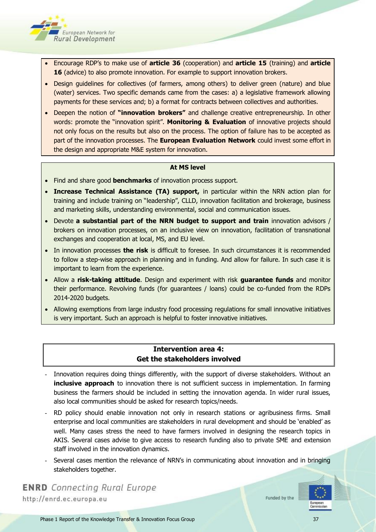

- Encourage RDP's to make use of **article 36** (cooperation) and **article 15** (training) and **article 16** (advice) to also promote innovation. For example to support innovation brokers.
- Design guidelines for collectives (of farmers, among others) to deliver green (nature) and blue (water) services. Two specific demands came from the cases: a) a legislative framework allowing payments for these services and; b) a format for contracts between collectives and authorities.
- Deepen the notion of **"innovation brokers"** and challenge creative entrepreneurship. In other words: promote the "innovation spirit". **Monitoring & Evaluation** of innovative projects should not only focus on the results but also on the process. The option of failure has to be accepted as part of the innovation processes. The **European Evaluation Network** could invest some effort in the design and appropriate M&E system for innovation.

#### **At MS level**

- Find and share good **benchmarks** of innovation process support.
- **Increase Technical Assistance (TA) support,** in particular within the NRN action plan for training and include training on "leadership", CLLD, innovation facilitation and brokerage, business and marketing skills, understanding environmental, social and communication issues.
- Devote **a substantial part of the NRN budget to support and train** innovation advisors / brokers on innovation processes, on an inclusive view on innovation, facilitation of transnational exchanges and cooperation at local, MS, and EU level.
- In innovation processes **the risk** is difficult to foresee. In such circumstances it is recommended to follow a step-wise approach in planning and in funding. And allow for failure. In such case it is important to learn from the experience.
- Allow a **risk-taking attitude**. Design and experiment with risk **guarantee funds** and monitor their performance. Revolving funds (for guarantees / loans) could be co-funded from the RDPs 2014-2020 budgets.
- Allowing exemptions from large industry food processing regulations for small innovative initiatives is very important. Such an approach is helpful to foster innovative initiatives.

#### **Intervention area 4: Get the stakeholders involved**

- Innovation requires doing things differently, with the support of diverse stakeholders. Without an **inclusive approach** to innovation there is not sufficient success in implementation. In farming business the farmers should be included in setting the innovation agenda. In wider rural issues, also local communities should be asked for research topics/needs.
- RD policy should enable innovation not only in research stations or agribusiness firms. Small enterprise and local communities are stakeholders in rural development and should be 'enabled' as well. Many cases stress the need to have farmers involved in designing the research topics in AKIS. Several cases advise to give access to research funding also to private SME and extension staff involved in the innovation dynamics.
- Several cases mention the relevance of NRN's in communicating about innovation and in bringing stakeholders together.

**ENRD** Connecting Rural Europe http://enrd.ec.europa.eu

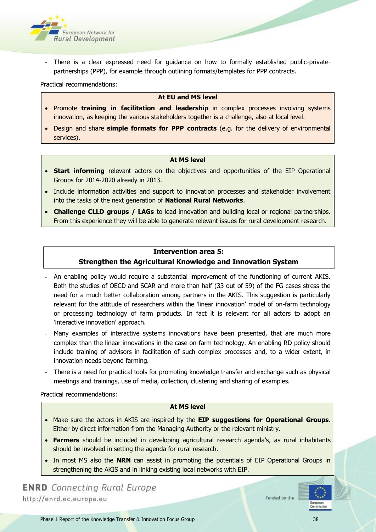

There is a clear expressed need for quidance on how to formally established public-privatepartnerships (PPP), for example through outlining formats/templates for PPP contracts.

Practical recommendations:

#### **At EU and MS level**

- **Promote training in facilitation and leadership** in complex processes involving systems innovation, as keeping the various stakeholders together is a challenge, also at local level.
- Design and share **simple formats for PPP contracts** (e.g. for the delivery of environmental services).

#### **At MS level**

- **Start informing** relevant actors on the objectives and opportunities of the EIP Operational Groups for 2014-2020 already in 2013.
- Include information activities and support to innovation processes and stakeholder involvement into the tasks of the next generation of **National Rural Networks**.
- **Challenge CLLD groups / LAGs** to lead innovation and building local or regional partnerships. From this experience they will be able to generate relevant issues for rural development research.

#### **Intervention area 5:**

#### **Strengthen the Agricultural Knowledge and Innovation System**

- An enabling policy would require a substantial improvement of the functioning of current AKIS. Both the studies of OECD and SCAR and more than half (33 out of 59) of the FG cases stress the need for a much better collaboration among partners in the AKIS. This suggestion is particularly relevant for the attitude of researchers within the 'linear innovation' model of on-farm technology or processing technology of farm products. In fact it is relevant for all actors to adopt an 'interactive innovation' approach.
- Many examples of interactive systems innovations have been presented, that are much more complex than the linear innovations in the case on-farm technology. An enabling RD policy should include training of advisors in facilitation of such complex processes and, to a wider extent, in innovation needs beyond farming.
- There is a need for practical tools for promoting knowledge transfer and exchange such as physical meetings and trainings, use of media, collection, clustering and sharing of examples.

Practical recommendations:

#### **At MS level**

- Make sure the actors in AKIS are inspired by the **EIP suggestions for Operational Groups**. Either by direct information from the Managing Authority or the relevant ministry.
- **Farmers** should be included in developing agricultural research agenda's, as rural inhabitants should be involved in setting the agenda for rural research.
- In most MS also the **NRN** can assist in promoting the potentials of EIP Operational Groups in strengthening the AKIS and in linking existing local networks with EIP.

# **ENRD** Connecting Rural Europe http://enrd.ec.europa.eu